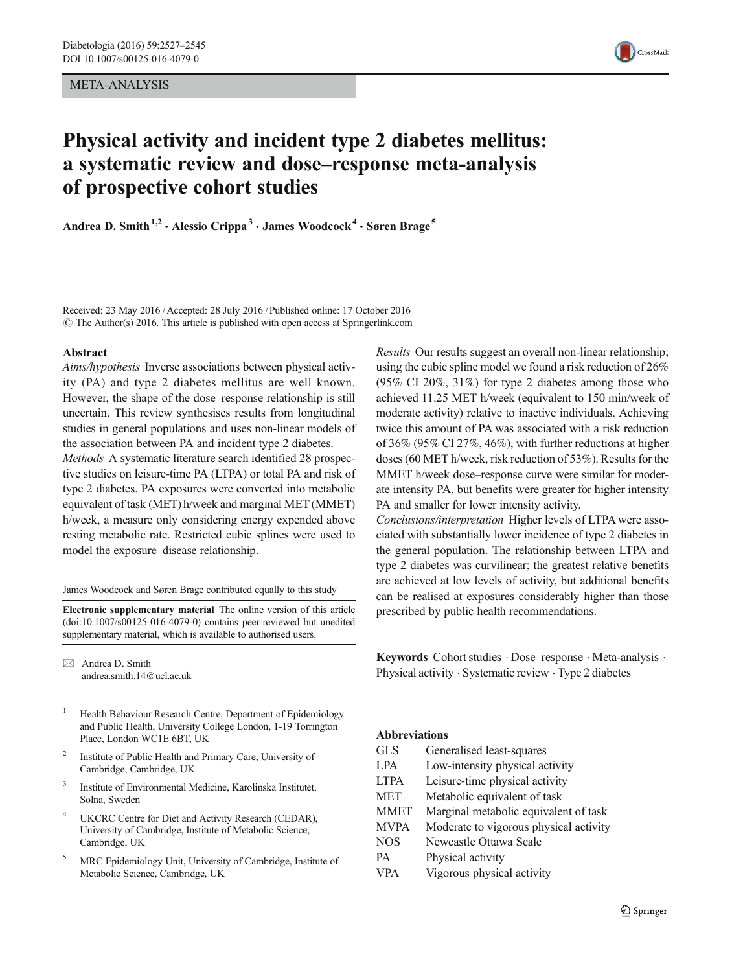## META-ANALYSIS



# Physical activity and incident type 2 diabetes mellitus: a systematic review and dose–response meta-analysis of prospective cohort studies

Andrea D. Smith<sup>1,2</sup> · Alessio Crippa<sup>3</sup> · James Woodcock<sup>4</sup> · Søren Brage<sup>5</sup>

Received: 23 May 2016 /Accepted: 28 July 2016 / Published online: 17 October 2016  $\odot$  The Author(s) 2016. This article is published with open access at Springerlink.com

#### Abstract

Aims/hypothesis Inverse associations between physical activity (PA) and type 2 diabetes mellitus are well known. However, the shape of the dose–response relationship is still uncertain. This review synthesises results from longitudinal studies in general populations and uses non-linear models of the association between PA and incident type 2 diabetes.

Methods A systematic literature search identified 28 prospective studies on leisure-time PA (LTPA) or total PA and risk of type 2 diabetes. PA exposures were converted into metabolic equivalent of task (MET) h/week and marginal MET (MMET) h/week, a measure only considering energy expended above resting metabolic rate. Restricted cubic splines were used to model the exposure–disease relationship.

James Woodcock and Søren Brage contributed equally to this study

Electronic supplementary material The online version of this article (doi[:10.1007/s00125-016-4079-0\)](http://dx.doi.org/10.1007/s00125-016-4079-0) contains peer-reviewed but unedited supplementary material, which is available to authorised users.

 $\boxtimes$  Andrea D. Smith andrea.smith.14@ucl.ac.uk

- <sup>1</sup> Health Behaviour Research Centre, Department of Epidemiology and Public Health, University College London, 1-19 Torrington Place, London WC1E 6BT, UK
- <sup>2</sup> Institute of Public Health and Primary Care, University of Cambridge, Cambridge, UK
- <sup>3</sup> Institute of Environmental Medicine, Karolinska Institutet, Solna, Sweden
- UKCRC Centre for Diet and Activity Research (CEDAR), University of Cambridge, Institute of Metabolic Science, Cambridge, UK
- <sup>5</sup> MRC Epidemiology Unit, University of Cambridge, Institute of Metabolic Science, Cambridge, UK

Results Our results suggest an overall non-linear relationship; using the cubic spline model we found a risk reduction of 26% (95% CI 20%, 31%) for type 2 diabetes among those who achieved 11.25 MET h/week (equivalent to 150 min/week of moderate activity) relative to inactive individuals. Achieving twice this amount of PA was associated with a risk reduction of 36% (95% CI 27%, 46%), with further reductions at higher doses (60 MET h/week, risk reduction of 53%). Results for the MMET h/week dose–response curve were similar for moderate intensity PA, but benefits were greater for higher intensity PA and smaller for lower intensity activity.

Conclusions/interpretation Higher levels of LTPA were associated with substantially lower incidence of type 2 diabetes in the general population. The relationship between LTPA and type 2 diabetes was curvilinear; the greatest relative benefits are achieved at low levels of activity, but additional benefits can be realised at exposures considerably higher than those prescribed by public health recommendations.

Keywords Cohort studies . Dose–response . Meta-analysis . Physical activity . Systematic review . Type 2 diabetes

#### Abbreviations

| <b>GLS</b>  | Generalised least-squares              |
|-------------|----------------------------------------|
| <b>LPA</b>  | Low-intensity physical activity        |
| <b>LTPA</b> | Leisure-time physical activity         |
| <b>MET</b>  | Metabolic equivalent of task           |
| <b>MMET</b> | Marginal metabolic equivalent of task  |
| <b>MVPA</b> | Moderate to vigorous physical activity |
| <b>NOS</b>  | Newcastle Ottawa Scale                 |
| <b>PA</b>   | Physical activity                      |
| <b>VPA</b>  | Vigorous physical activity             |
|             |                                        |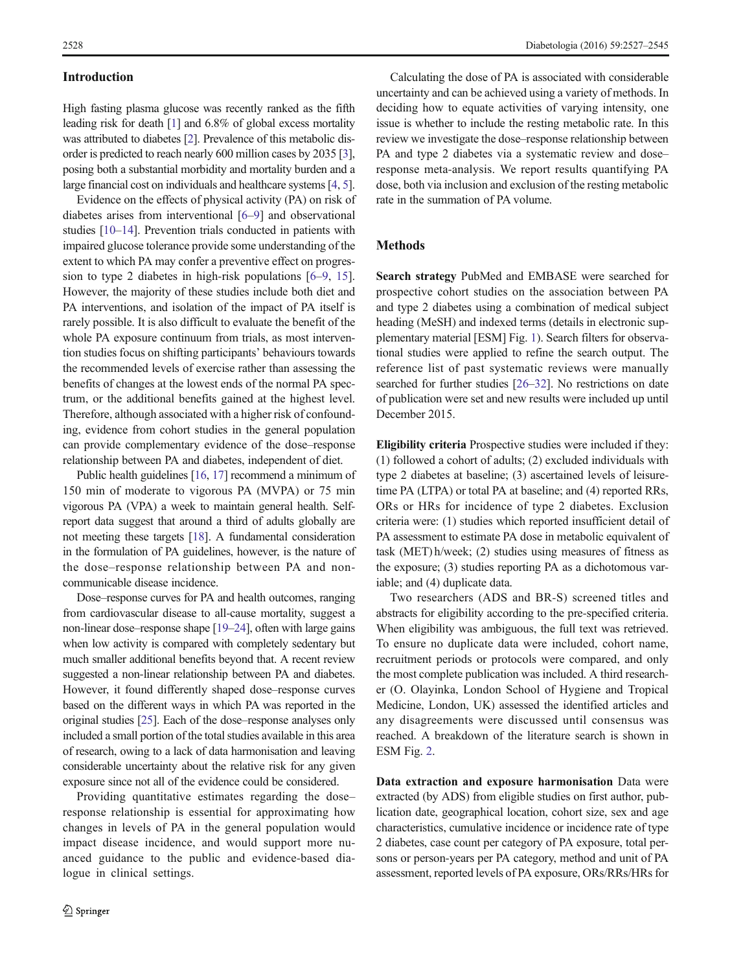# Introduction

High fasting plasma glucose was recently ranked as the fifth leading risk for death [\[1\]](#page-16-0) and 6.8% of global excess mortality was attributed to diabetes [[2](#page-16-0)]. Prevalence of this metabolic disorder is predicted to reach nearly 600 million cases by 2035 [\[3\]](#page-16-0), posing both a substantial morbidity and mortality burden and a large financial cost on individuals and healthcare systems [[4,](#page-16-0) [5\]](#page-16-0).

Evidence on the effects of physical activity (PA) on risk of diabetes arises from interventional [[6](#page-16-0)–[9](#page-16-0)] and observational studies [\[10](#page-16-0)–[14\]](#page-16-0). Prevention trials conducted in patients with impaired glucose tolerance provide some understanding of the extent to which PA may confer a preventive effect on progression to type 2 diabetes in high-risk populations [\[6](#page-16-0)–[9](#page-16-0), [15](#page-16-0)]. However, the majority of these studies include both diet and PA interventions, and isolation of the impact of PA itself is rarely possible. It is also difficult to evaluate the benefit of the whole PA exposure continuum from trials, as most intervention studies focus on shifting participants' behaviours towards the recommended levels of exercise rather than assessing the benefits of changes at the lowest ends of the normal PA spectrum, or the additional benefits gained at the highest level. Therefore, although associated with a higher risk of confounding, evidence from cohort studies in the general population can provide complementary evidence of the dose–response relationship between PA and diabetes, independent of diet.

Public health guidelines [\[16,](#page-16-0) [17](#page-16-0)] recommend a minimum of 150 min of moderate to vigorous PA (MVPA) or 75 min vigorous PA (VPA) a week to maintain general health. Selfreport data suggest that around a third of adults globally are not meeting these targets [[18](#page-16-0)]. A fundamental consideration in the formulation of PA guidelines, however, is the nature of the dose–response relationship between PA and noncommunicable disease incidence.

Dose–response curves for PA and health outcomes, ranging from cardiovascular disease to all-cause mortality, suggest a non-linear dose–response shape [\[19](#page-16-0)–[24](#page-16-0)], often with large gains when low activity is compared with completely sedentary but much smaller additional benefits beyond that. A recent review suggested a non-linear relationship between PA and diabetes. However, it found differently shaped dose–response curves based on the different ways in which PA was reported in the original studies [\[25](#page-16-0)]. Each of the dose–response analyses only included a small portion of the total studies available in this area of research, owing to a lack of data harmonisation and leaving considerable uncertainty about the relative risk for any given exposure since not all of the evidence could be considered.

Providing quantitative estimates regarding the dose– response relationship is essential for approximating how changes in levels of PA in the general population would impact disease incidence, and would support more nuanced guidance to the public and evidence-based dialogue in clinical settings.

Calculating the dose of PA is associated with considerable uncertainty and can be achieved using a variety of methods. In deciding how to equate activities of varying intensity, one issue is whether to include the resting metabolic rate. In this review we investigate the dose–response relationship between PA and type 2 diabetes via a systematic review and dose– response meta-analysis. We report results quantifying PA dose, both via inclusion and exclusion of the resting metabolic rate in the summation of PA volume.

### Methods

Search strategy PubMed and EMBASE were searched for prospective cohort studies on the association between PA and type 2 diabetes using a combination of medical subject heading (MeSH) and indexed terms (details in electronic supplementary material [ESM] Fig. 1). Search filters for observational studies were applied to refine the search output. The reference list of past systematic reviews were manually searched for further studies [\[26](#page-16-0)–[32\]](#page-17-0). No restrictions on date of publication were set and new results were included up until December 2015.

Eligibility criteria Prospective studies were included if they: (1) followed a cohort of adults; (2) excluded individuals with type 2 diabetes at baseline; (3) ascertained levels of leisuretime PA (LTPA) or total PA at baseline; and (4) reported RRs, ORs or HRs for incidence of type 2 diabetes. Exclusion criteria were: (1) studies which reported insufficient detail of PA assessment to estimate PA dose in metabolic equivalent of task (MET) h/week; (2) studies using measures of fitness as the exposure; (3) studies reporting PA as a dichotomous variable; and (4) duplicate data.

Two researchers (ADS and BR-S) screened titles and abstracts for eligibility according to the pre-specified criteria. When eligibility was ambiguous, the full text was retrieved. To ensure no duplicate data were included, cohort name, recruitment periods or protocols were compared, and only the most complete publication was included. A third researcher (O. Olayinka, London School of Hygiene and Tropical Medicine, London, UK) assessed the identified articles and any disagreements were discussed until consensus was reached. A breakdown of the literature search is shown in ESM Fig. 2.

Data extraction and exposure harmonisation Data were extracted (by ADS) from eligible studies on first author, publication date, geographical location, cohort size, sex and age characteristics, cumulative incidence or incidence rate of type 2 diabetes, case count per category of PA exposure, total persons or person-years per PA category, method and unit of PA assessment, reported levels of PA exposure, ORs/RRs/HRs for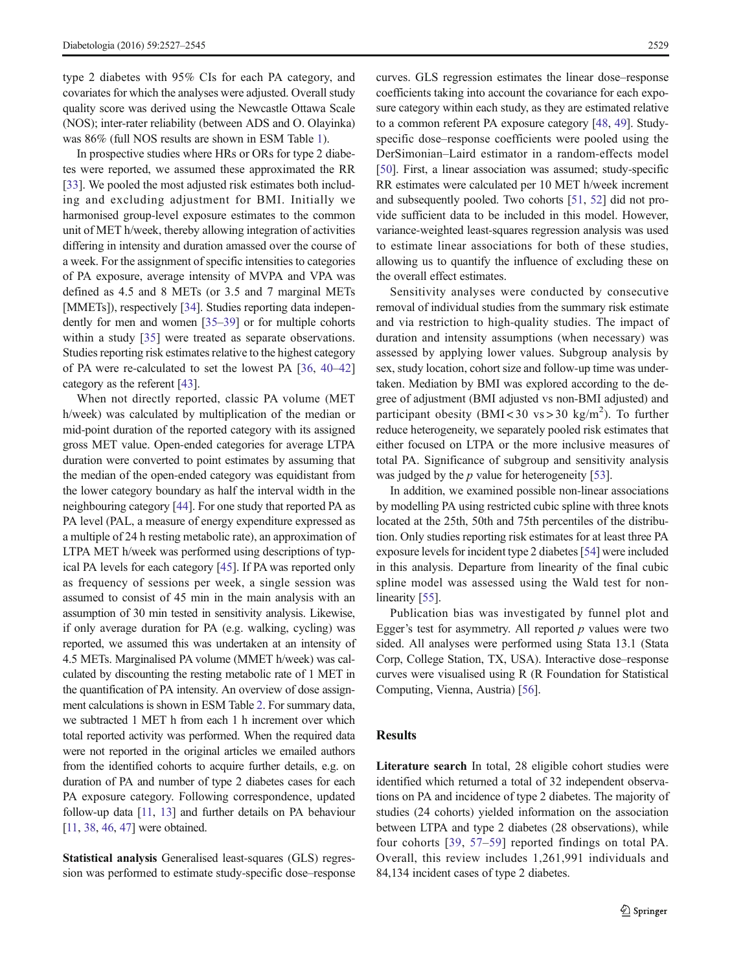type 2 diabetes with 95% CIs for each PA category, and covariates for which the analyses were adjusted. Overall study quality score was derived using the Newcastle Ottawa Scale (NOS); inter-rater reliability (between ADS and O. Olayinka) was 86% (full NOS results are shown in ESM Table 1).

In prospective studies where HRs or ORs for type 2 diabetes were reported, we assumed these approximated the RR [\[33\]](#page-17-0). We pooled the most adjusted risk estimates both including and excluding adjustment for BMI. Initially we harmonised group-level exposure estimates to the common unit of MET h/week, thereby allowing integration of activities differing in intensity and duration amassed over the course of a week. For the assignment of specific intensities to categories of PA exposure, average intensity of MVPA and VPA was defined as 4.5 and 8 METs (or 3.5 and 7 marginal METs [MMETs]), respectively [[34\]](#page-17-0). Studies reporting data independently for men and women [\[35](#page-17-0)–[39\]](#page-17-0) or for multiple cohorts within a study [\[35](#page-17-0)] were treated as separate observations. Studies reporting risk estimates relative to the highest category of PA were re-calculated to set the lowest PA [[36,](#page-17-0) [40](#page-17-0)–[42\]](#page-17-0) category as the referent [[43](#page-17-0)].

When not directly reported, classic PA volume (MET h/week) was calculated by multiplication of the median or mid-point duration of the reported category with its assigned gross MET value. Open-ended categories for average LTPA duration were converted to point estimates by assuming that the median of the open-ended category was equidistant from the lower category boundary as half the interval width in the neighbouring category [[44](#page-17-0)]. For one study that reported PA as PA level (PAL, a measure of energy expenditure expressed as a multiple of 24 h resting metabolic rate), an approximation of LTPA MET h/week was performed using descriptions of typical PA levels for each category [\[45](#page-17-0)]. If PA was reported only as frequency of sessions per week, a single session was assumed to consist of 45 min in the main analysis with an assumption of 30 min tested in sensitivity analysis. Likewise, if only average duration for PA (e.g. walking, cycling) was reported, we assumed this was undertaken at an intensity of 4.5 METs. Marginalised PA volume (MMET h/week) was calculated by discounting the resting metabolic rate of 1 MET in the quantification of PA intensity. An overview of dose assignment calculations is shown in ESM Table 2. For summary data, we subtracted 1 MET h from each 1 h increment over which total reported activity was performed. When the required data were not reported in the original articles we emailed authors from the identified cohorts to acquire further details, e.g. on duration of PA and number of type 2 diabetes cases for each PA exposure category. Following correspondence, updated follow-up data [\[11](#page-16-0), [13](#page-16-0)] and further details on PA behaviour [\[11](#page-16-0), [38,](#page-17-0) [46](#page-17-0), [47](#page-17-0)] were obtained.

Statistical analysis Generalised least-squares (GLS) regression was performed to estimate study-specific dose–response curves. GLS regression estimates the linear dose–response coefficients taking into account the covariance for each exposure category within each study, as they are estimated relative to a common referent PA exposure category [\[48,](#page-17-0) [49\]](#page-17-0). Studyspecific dose–response coefficients were pooled using the DerSimonian–Laird estimator in a random-effects model [\[50](#page-17-0)]. First, a linear association was assumed; study-specific RR estimates were calculated per 10 MET h/week increment and subsequently pooled. Two cohorts [\[51,](#page-17-0) [52](#page-17-0)] did not provide sufficient data to be included in this model. However, variance-weighted least-squares regression analysis was used to estimate linear associations for both of these studies, allowing us to quantify the influence of excluding these on the overall effect estimates.

Sensitivity analyses were conducted by consecutive removal of individual studies from the summary risk estimate and via restriction to high-quality studies. The impact of duration and intensity assumptions (when necessary) was assessed by applying lower values. Subgroup analysis by sex, study location, cohort size and follow-up time was undertaken. Mediation by BMI was explored according to the degree of adjustment (BMI adjusted vs non-BMI adjusted) and participant obesity (BMI<30 vs>30 kg/m<sup>2</sup>). To further reduce heterogeneity, we separately pooled risk estimates that either focused on LTPA or the more inclusive measures of total PA. Significance of subgroup and sensitivity analysis was judged by the *p* value for heterogeneity [\[53](#page-17-0)].

In addition, we examined possible non-linear associations by modelling PA using restricted cubic spline with three knots located at the 25th, 50th and 75th percentiles of the distribution. Only studies reporting risk estimates for at least three PA exposure levels for incident type 2 diabetes [\[54](#page-17-0)] were included in this analysis. Departure from linearity of the final cubic spline model was assessed using the Wald test for non-linearity [[55\]](#page-17-0).

Publication bias was investigated by funnel plot and Egger's test for asymmetry. All reported  $p$  values were two sided. All analyses were performed using Stata 13.1 (Stata Corp, College Station, TX, USA). Interactive dose–response curves were visualised using R (R Foundation for Statistical Computing, Vienna, Austria) [[56\]](#page-17-0).

# Results

Literature search In total, 28 eligible cohort studies were identified which returned a total of 32 independent observations on PA and incidence of type 2 diabetes. The majority of studies (24 cohorts) yielded information on the association between LTPA and type 2 diabetes (28 observations), while four cohorts [\[39,](#page-17-0) [57](#page-17-0)–[59\]](#page-17-0) reported findings on total PA. Overall, this review includes 1,261,991 individuals and 84,134 incident cases of type 2 diabetes.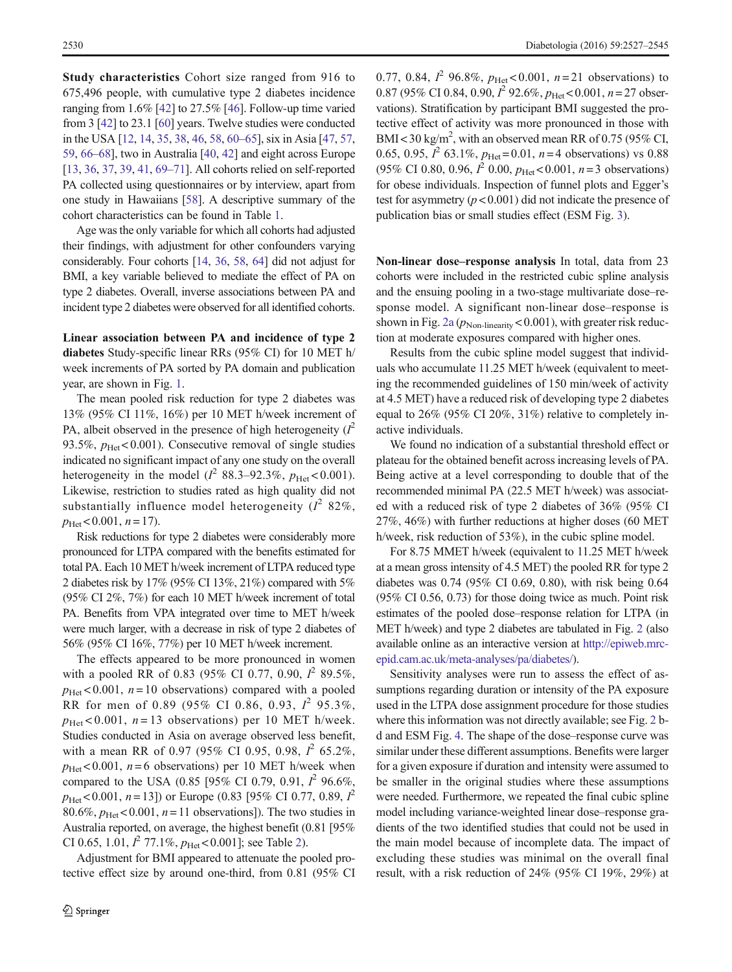Study characteristics Cohort size ranged from 916 to 675,496 people, with cumulative type 2 diabetes incidence ranging from 1.6% [[42](#page-17-0)] to 27.5% [\[46](#page-17-0)]. Follow-up time varied from 3 [\[42\]](#page-17-0) to 23.1 [\[60\]](#page-17-0) years. Twelve studies were conducted in the USA [\[12,](#page-16-0) [14](#page-16-0), [35](#page-17-0), [38,](#page-17-0) [46](#page-17-0), [58](#page-17-0), [60](#page-17-0)–[65](#page-17-0)], six in Asia [[47](#page-17-0), [57,](#page-17-0) [59,](#page-17-0) [66](#page-17-0)–[68](#page-17-0)], two in Australia [\[40,](#page-17-0) [42\]](#page-17-0) and eight across Europe [\[13,](#page-16-0) [36](#page-17-0), [37,](#page-17-0) [39](#page-17-0), [41,](#page-17-0) [69](#page-17-0)–[71\]](#page-18-0). All cohorts relied on self-reported PA collected using questionnaires or by interview, apart from one study in Hawaiians [\[58](#page-17-0)]. A descriptive summary of the cohort characteristics can be found in Table [1](#page-4-0).

Age was the only variable for which all cohorts had adjusted their findings, with adjustment for other confounders varying considerably. Four cohorts [[14](#page-16-0), [36,](#page-17-0) [58,](#page-17-0) [64](#page-17-0)] did not adjust for BMI, a key variable believed to mediate the effect of PA on type 2 diabetes. Overall, inverse associations between PA and incident type 2 diabetes were observed for all identified cohorts.

Linear association between PA and incidence of type 2 diabetes Study-specific linear RRs (95% CI) for 10 MET h/ week increments of PA sorted by PA domain and publication year, are shown in Fig. [1.](#page-12-0)

The mean pooled risk reduction for type 2 diabetes was 13% (95% CI 11%, 16%) per 10 MET h/week increment of PA, albeit observed in the presence of high heterogeneity  $(I^2)$ 93.5%,  $p_{\text{Het}}$  < 0.001). Consecutive removal of single studies indicated no significant impact of any one study on the overall heterogeneity in the model ( $l^2$  88.3–92.3%,  $p_{\text{Het}}$  < 0.001). Likewise, restriction to studies rated as high quality did not substantially influence model heterogeneity  $(I^2 82\%$ ,  $p_{\text{Het}}$  < 0.001,  $n = 17$ ).

Risk reductions for type 2 diabetes were considerably more pronounced for LTPA compared with the benefits estimated for total PA. Each 10 MET h/week increment of LTPA reduced type 2 diabetes risk by 17% (95% CI 13%, 21%) compared with 5% (95% CI 2%, 7%) for each 10 MET h/week increment of total PA. Benefits from VPA integrated over time to MET h/week were much larger, with a decrease in risk of type 2 diabetes of 56% (95% CI 16%, 77%) per 10 MET h/week increment.

The effects appeared to be more pronounced in women with a pooled RR of 0.83 (95% CI 0.77, 0.90,  $I^2$  89.5%,  $p_{\text{Het}}$  < 0.001,  $n=10$  observations) compared with a pooled RR for men of 0.89 (95% CI 0.86, 0.93,  $I^2$  95.3%,  $p_{\text{Het}}$  < 0.001, n = 13 observations) per 10 MET h/week. Studies conducted in Asia on average observed less benefit, with a mean RR of 0.97 (95% CI 0.95, 0.98,  $I^2$  65.2%,  $p_{\text{Het}}$ <0.001,  $n=6$  observations) per 10 MET h/week when compared to the USA (0.85 [95% CI 0.79, 0.91,  $I^2$  96.6%,  $p_{\text{Het}}$  < 0.001, n = 13]) or Europe (0.83 [95% CI 0.77, 0.89,  $l^2$ 80.6%,  $p_{\text{Het}}$  < 0.001,  $n=11$  observations]). The two studies in Australia reported, on average, the highest benefit (0.81 [95% CI 0.65, 1.01,  $I^2$  $I^2$  77.1%,  $p_{\text{Het}}$  < 0.001]; see Table 2).

Adjustment for BMI appeared to attenuate the pooled protective effect size by around one-third, from 0.81 (95% CI

0.77, 0.84,  $I^2$  96.8%,  $p_{\text{Het}}$  < 0.001,  $n=21$  observations) to 0.87 (95% CI 0.84, 0.90,  $I^2$  92.6%,  $p_{\text{Het}}$  < 0.001,  $n=27$  observations). Stratification by participant BMI suggested the protective effect of activity was more pronounced in those with BMI < 30 kg/m<sup>2</sup>, with an observed mean RR of 0.75 (95% CI, 0.65, 0.95,  $I^2$  63.1%,  $p_{\text{Het}} = 0.01$ ,  $n = 4$  observations) vs 0.88 (95% CI 0.80, 0.96,  $I^2$  0.00,  $p_{\text{Het}}$  < 0.001,  $n=3$  observations) for obese individuals. Inspection of funnel plots and Egger's test for asymmetry  $(p < 0.001)$  did not indicate the presence of publication bias or small studies effect (ESM Fig. 3).

Non-linear dose–response analysis In total, data from 23 cohorts were included in the restricted cubic spline analysis and the ensuing pooling in a two-stage multivariate dose–response model. A significant non-linear dose–response is shown in Fig. [2a](#page-14-0)  $(p_{\text{Non-linearity}} < 0.001)$ , with greater risk reduction at moderate exposures compared with higher ones.

Results from the cubic spline model suggest that individuals who accumulate 11.25 MET h/week (equivalent to meeting the recommended guidelines of 150 min/week of activity at 4.5 MET) have a reduced risk of developing type 2 diabetes equal to 26% (95% CI 20%, 31%) relative to completely inactive individuals.

We found no indication of a substantial threshold effect or plateau for the obtained benefit across increasing levels of PA. Being active at a level corresponding to double that of the recommended minimal PA (22.5 MET h/week) was associated with a reduced risk of type 2 diabetes of 36% (95% CI 27%, 46%) with further reductions at higher doses (60 MET h/week, risk reduction of 53%), in the cubic spline model.

For 8.75 MMET h/week (equivalent to 11.25 MET h/week at a mean gross intensity of 4.5 MET) the pooled RR for type 2 diabetes was 0.74 (95% CI 0.69, 0.80), with risk being 0.64 (95% CI 0.56, 0.73) for those doing twice as much. Point risk estimates of the pooled dose–response relation for LTPA (in MET h/week) and type 2 diabetes are tabulated in Fig. [2](#page-14-0) (also available online as an interactive version at [http://epiweb.mrc](http://epiweb.mrc-epid.cam.ac.uk/meta-analyses/pa/diabetes/)[epid.cam.ac.uk/meta-analyses/pa/diabetes/](http://epiweb.mrc-epid.cam.ac.uk/meta-analyses/pa/diabetes/)).

Sensitivity analyses were run to assess the effect of assumptions regarding duration or intensity of the PA exposure used in the LTPA dose assignment procedure for those studies where this information was not directly available; see Fig. [2](#page-14-0) bd and ESM Fig. 4. The shape of the dose–response curve was similar under these different assumptions. Benefits were larger for a given exposure if duration and intensity were assumed to be smaller in the original studies where these assumptions were needed. Furthermore, we repeated the final cubic spline model including variance-weighted linear dose–response gradients of the two identified studies that could not be used in the main model because of incomplete data. The impact of excluding these studies was minimal on the overall final result, with a risk reduction of 24% (95% CI 19%, 29%) at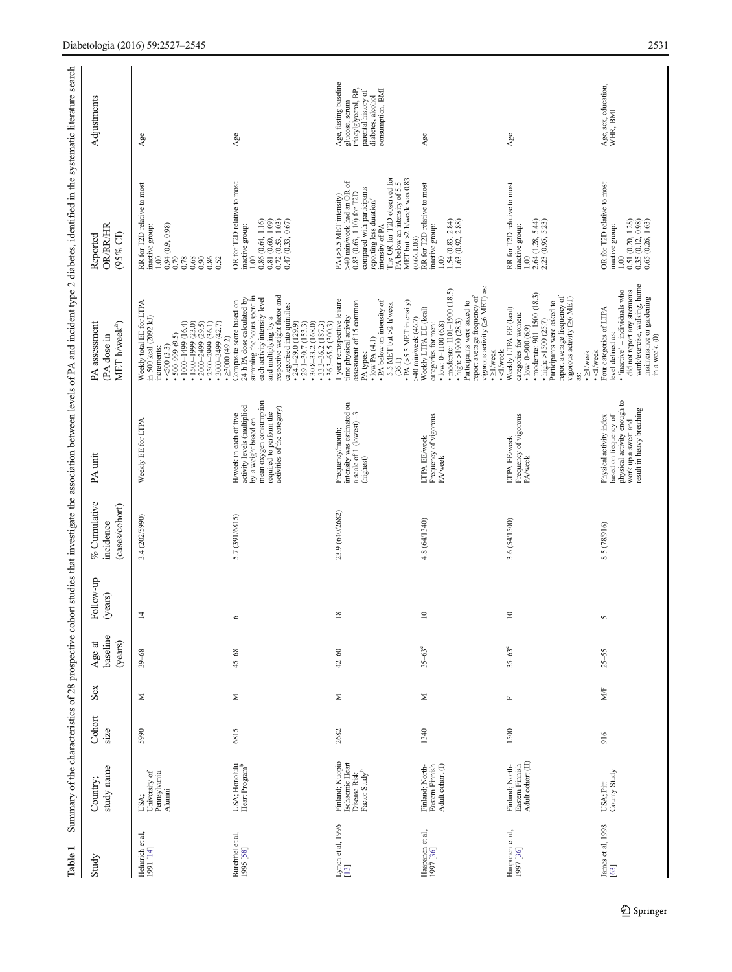<span id="page-4-0"></span>

| Table 1                       |                                                                                 |                |              |                               |                      |                                             |                                                                                                                                                                    |                                                                                                                                                                                                                                                                                                                                        | Summary of the characteristics of 28 prospective cohort studies that investigate the association between levels of PA and incident type 2 diabetes, identified in the systematic literature search                                                                |                                                                                                                                 |
|-------------------------------|---------------------------------------------------------------------------------|----------------|--------------|-------------------------------|----------------------|---------------------------------------------|--------------------------------------------------------------------------------------------------------------------------------------------------------------------|----------------------------------------------------------------------------------------------------------------------------------------------------------------------------------------------------------------------------------------------------------------------------------------------------------------------------------------|-------------------------------------------------------------------------------------------------------------------------------------------------------------------------------------------------------------------------------------------------------------------|---------------------------------------------------------------------------------------------------------------------------------|
| Study                         | study name<br>Country;                                                          | Cohort<br>size | Sex          | baseline<br>(years)<br>Age at | Follow-up<br>(years) | % Cumulative<br>(cases/cohort)<br>incidence | PA unit                                                                                                                                                            | MET h/week <sup>a</sup> )<br>PA assessment<br>(PA dose in                                                                                                                                                                                                                                                                              | OR/RR/HR<br>(95% CI)<br>Reported                                                                                                                                                                                                                                  | Adjustments                                                                                                                     |
| Helmrich et al, $1991\ [14]$  | USA;<br>University of<br>Pennsylvania<br>Alumni                                 | 5990           | Σ            | $39 - 68$                     | 4                    | 3.4 (202/5990)                              | Weekly EE for LTPA                                                                                                                                                 | Weekly total EE for LTPA<br>in 500 kcal (2092 kJ)<br>$\cdot$ 2500-2999 (36.1)<br>$\cdot$ 1000-1499 (16.4)<br>$\cdot$ 1500-1999 (23.0)<br>$\cdot$ 2000-2499 (29.5)<br>$\cdot$ 3000-3499 (42.7)<br>$\frac{0.500(3.3)}{0.500-999(9.5)}$<br>increments:                                                                                    | RR for T2D relative to most<br>$\begin{array}{l} 0.94\\0.94\\0.79\\0.78\\0.68\\0.90\\0.86\\0.32\\0.52 \end{array}$<br>inactive group:<br>0.00                                                                                                                     | $\mathsf{Age}$                                                                                                                  |
| Burchfiel et al,<br>1995 [58] | USA; Honolulu<br>Heart Program <sup>b</sup>                                     | 6815           | $\geq$       | $45 - 68$                     | ⊾                    | 5.7 (391/6815)                              | mean oxygen consumption<br>H/week in each of five<br>activity levels (multiplied<br>activities of the category)<br>required to perform the<br>by a weight based on | respective weight factor and<br>categorised into quintiles:<br>• 24.1–29.0 (129.9)<br>• 30.8–33.2 (168.0)<br>• 30.8–35.2 (187.3)<br>summing the hours spent in<br>each activity intensity level<br>24 h PA dose calculated by<br>• $\geq 3000$ (49.2)<br>Composite score based on<br>and multiplying by a<br>$\cdot$ 36.3–65.5 (300.3) | OR for T2D relative to most<br>$\begin{array}{c} 1.00 \\ 0.86 \ (0.64, \ 1.16) \\ 0.81 \ (0.60, \ 1.09) \\ 0.72 \ (0.53, \ 1.03) \\ 0.47 \ (0.33, \ 0.67) \end{array}$<br>inactive group:                                                                         | Age                                                                                                                             |
| Lynch et al, $1996$<br>[13]   | Finland; Kuopio<br>Ischaemic Heart<br>Disease Risk<br>Factor Study <sup>b</sup> | 2682           | Σ            | $42 - 60$                     | ${}^{\circ}$         | 23.9 (640/2682)                             | intensity was estimated on<br>a scale of 1 (lowest) $-3$<br>(highest)<br>Frequency/month;                                                                          | 1 year retrospective leisure<br>• PA below an intensity of 5.5 MET but >2 h/week (36.1)<br>time physical activity<br>assessment of 15 common<br>$\cdot$ PA (>5.5 MET intensity)<br>$\bullet$ low PA $(4.1)$<br>PA types:                                                                                                               | intensity of PA<br>The OR for T2D observed for<br>PA below an intensity of 5.5<br>MET but >2 h/week was 0.83<br>PA $(>5.5$ MET intensity)<br>$>40$ min/week had an OR of<br>compared with participants<br>$0.83\ (0.63, 1.10)$ for T2D<br>reporting less duration | Age, fasting baseline<br>consumption, BMI<br>glucose, serum<br>triacylglycerol, BP,<br>parental history of<br>diabetes, alcohol |
| Haapanen et al, $1997$ [36]   | Finland; North-<br>Eastern Finnish<br>Adult cohort (I)                          | 1340           | $\geq$       | $35-63^\circ$                 | $\circ$              | 4.8 (64/1340)                               | LTPA EE/week<br>Frequency of vigorous<br>PA/week                                                                                                                   | report average frequency of<br>vigorous activity ( $\geq$ 6 MET) as:<br>• $\geq$ 1/week<br>$\bullet$ moderate: 1101-1900 (18.5)<br>Participants were asked to<br>Weekly LTPA EE (kcal)<br>>40 min/week (46.7)<br>$\cdot$ high: >1900 (28.3)<br>$\bullet$ low: 0-1100 (6.8)<br>categories for men:                                      | RR for T2D relative to most<br>$1.54\ (0.83, 2.84) \\ 1.63\ (0.92, 2.88)$<br>inactive group:<br>(0.66, 1.03)<br>00.1                                                                                                                                              | Agee                                                                                                                            |
| Haapanen et al,<br>1997 [36]  | Adult cohort (II)<br>Eastern Finnish<br>Finland; North-                         | 1500           | $\mathbf{L}$ | $35 - 63^{\circ}$             | $\circ$              | 3.6 (54/1500)                               | Frequency of vigorous<br>PA/week<br><b>LTPA EE/week</b>                                                                                                            | · moderate: 901-1500 (18.3)<br>report average frequency of<br>vigorous activity $(\geq 6$ MET)<br>• high: >1500 $(25.7)$<br>Participants were asked to<br>Weekly LTPA EE (kcal)<br>categories for women:<br>$\bullet$ low: 0-900 (6.9)<br>· <l week<br=""><math>\cdot</math> <math>\geq</math> <math>1</math>/week<br/>ä</l>           | RR for T2D relative to most<br>$1.00$<br>$2.64$ (1.28, 5.44)<br>$2.23$ (0.95, 5.23)<br>inactive group:                                                                                                                                                            | Age                                                                                                                             |
| James et al, 1998<br>[63]     | USA; Pitt<br>County Study                                                       | 916            | MÆ           | $25 - 55$                     | n                    | 8.5 (78/916)                                | based on frequency of<br>physical activity enough to<br>work up a sweat and<br>result in heavy breathing<br>Physical activity index                                | work/exercise, walking, home<br>Four categories of LTPA<br>level defined as:<br>• 'inactive' = individuals who<br>did not report any strenuous<br>maintenance or gardening<br>in a week. (0)<br>·<1/week                                                                                                                               | OR for T2D relative to most<br>inactive group:<br>$1.00$<br>$0.51$ (0.20, 1.28)<br>$0.35$ (0.12, 0.98)<br>$0.65$ (0.26, 1.63)                                                                                                                                     | Age, sex, education,<br>WHR, BMI                                                                                                |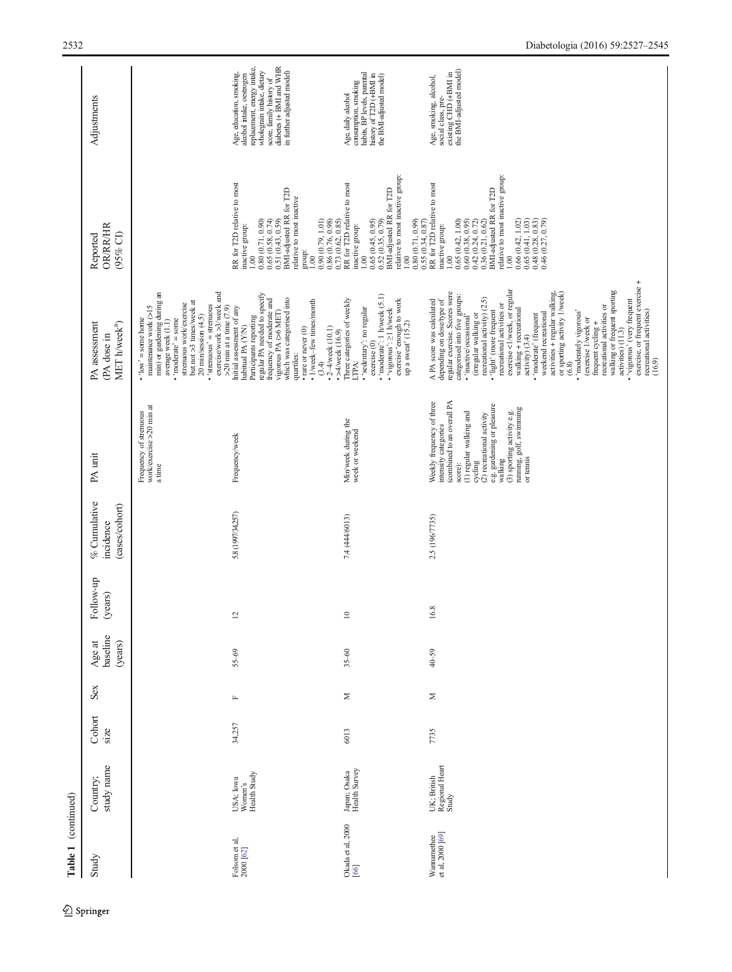| Table 1 (continued)                     |                                        |                |              |                               |                      |                                             |                                                                                                                                                                                                                                                                                |                                                                                                                                                                                                                                                                                                                                                                                                                                                                                                                                                                                                                                                                                                                                                            |                                                                                                                                                                                                                                                                                                                                                                                                                                                  |                                                                                                                                                                                                         |
|-----------------------------------------|----------------------------------------|----------------|--------------|-------------------------------|----------------------|---------------------------------------------|--------------------------------------------------------------------------------------------------------------------------------------------------------------------------------------------------------------------------------------------------------------------------------|------------------------------------------------------------------------------------------------------------------------------------------------------------------------------------------------------------------------------------------------------------------------------------------------------------------------------------------------------------------------------------------------------------------------------------------------------------------------------------------------------------------------------------------------------------------------------------------------------------------------------------------------------------------------------------------------------------------------------------------------------------|--------------------------------------------------------------------------------------------------------------------------------------------------------------------------------------------------------------------------------------------------------------------------------------------------------------------------------------------------------------------------------------------------------------------------------------------------|---------------------------------------------------------------------------------------------------------------------------------------------------------------------------------------------------------|
| Study                                   | study name<br>Country;                 | Cohort<br>size | Sex          | baseline<br>(years)<br>Age at | Follow-up<br>(years) | % Cumulative<br>(cases/cohort)<br>incidence | PA unit                                                                                                                                                                                                                                                                        | PA assessment<br>MET h/week <sup>a</sup> )<br>(PA dose in                                                                                                                                                                                                                                                                                                                                                                                                                                                                                                                                                                                                                                                                                                  | OR/RR/HR<br>(95% CI)<br>Reported                                                                                                                                                                                                                                                                                                                                                                                                                 | Adjustments                                                                                                                                                                                             |
|                                         |                                        |                |              |                               |                      |                                             | work/exercise >20 min at<br>Frequency of strenuous<br>a time                                                                                                                                                                                                                   | exercise/work $>3$ /week and<br>maintenance work $(>15$<br>min) or gardening during an<br>but not >3 times/week at<br>stremious work/exercise<br>'strenuous' = strenuous<br>$20$ min/session $(4.5)$<br>$\bullet$ 'low' = some home<br>moderate' = some<br>average week (1.1)                                                                                                                                                                                                                                                                                                                                                                                                                                                                              |                                                                                                                                                                                                                                                                                                                                                                                                                                                  |                                                                                                                                                                                                         |
| Folsom et al,<br>$2000\left[62\right]$  | USA; Iowa<br>Women's<br>Health Study   | 34,257         | $\mathbf{L}$ | $55 - 69$                     | $\overline{\omega}$  | 5.8 (1997/34,257)                           | Frequency/week                                                                                                                                                                                                                                                                 | regular PA needed to specify<br>which was categorised into<br>frequency of moderate and<br>• rare or never $(0)$<br>• 1/week-few times/month<br>$>20$ min at a time $(7.9)$<br>Initial assessment of any<br>vigorous PA (>6 MET)<br>Participants reporting<br>habitual PA (Y/N)<br>$\cdot$ 2-4/week (10.1)<br>quartiles:<br>(3.4)                                                                                                                                                                                                                                                                                                                                                                                                                          | RR for T2D relative to most<br>BMI-adjusted RR for T2D<br>relative to most inactive<br>$\begin{array}{c} 0.80 \ (0.71, \ 0.90) \\ 0.65 \ (0.58, \ 0.74) \end{array}$<br>0.90(0.79, 1.01)<br>0.86(0.76, 0.98)<br>0.51(0.43, 0.59)<br>inactive group:<br>group:<br>1.00<br>1.00                                                                                                                                                                    | diabetes (+ BMI and WHR<br>replacement, energy intake,<br>wholegrain intake, dietary<br>in further adjusted model)<br>Age, education, smoking,<br>alcohol intake, oestrogen<br>score, family history of |
| Okada et al, 2000<br>$\left[ 66\right]$ | Japan; Osaka<br>Health Survey          | 6013           | Σ            | $35 - 60$                     | $\approx$            | 7.4 (444/6013)                              | Min/week during the<br>week or weekend                                                                                                                                                                                                                                         | $\bullet$ 'moderate': 1 h/week $(5.1)$<br>Three categories of weekly<br>exercise 'enough to work<br>up a sweat' $(15.2)$<br>· 'sedentary': no regular<br>'vigorous': >1 h/week<br>$\rightarrow$ $\lambda$ /week (16.9)<br>exercise $\left( 0\right)$<br>LTPA:                                                                                                                                                                                                                                                                                                                                                                                                                                                                                              | relative to most inactive group:<br>RR for T2D relative to most<br>$0.65\ (0.45, 0.95)$<br>$0.52\ (0.35, 0.79)$<br>BMI-adjusted RR for T2D<br>0.73(0.62, 0.85)<br>inactive group:<br>1.00<br>00.1                                                                                                                                                                                                                                                | consumption, smoking<br>habits, BP levels, parental<br>history of T2D (+BMI in<br>the BMI-adjusted model)<br>Age, daily aloohol                                                                         |
| Wannamethee<br>et al, 2000 [69]         | UK; British<br>Regional Heart<br>Study | 7735           | Σ            | $40 - 59$                     | 16.8                 | 2.5 (196/7735)                              | (combined to an overall PA<br>Weekly frequency of three<br>e.g. gardening or pleasure<br>$(3)$ sporting activity e.g.<br>running, golf, swimming<br>(1) regular walking and<br>(2) recreational activity<br>intensity categories<br>or tennis<br>walking<br>cycling<br>score): | exercise, or frequent exercise +<br>recreational activities)<br>exercise <1/week, or regular<br>walking or frequent sporting<br>regular exercise. Scores were<br>activities + regular walking,<br>or sporting activity 1/week)<br>categorised into five groups:<br>recreational activity) (2.5)<br>depending on dose/type of<br>vigorous' (very frequent<br>A PA score was calculated<br>recreational activities or<br>recreational activities or<br>walking + recreational<br>• 'light' (more frequent<br>'moderately vigorous'<br>(irregular walking or<br>weekend recreational<br>'moderate' (frequent<br>· 'inactive/occasional'<br>(exercise 1/week or<br>frequent cycling +<br>activities) (11.3)<br>activity) (3.4)<br>(16.9)<br>(6.8)<br>$\bullet$ | relative to most inactive group:<br>0.80 $(0.71, 0.99)$<br>0.55 $(0.34, 0.87)$<br>RR for T2D relative to most<br>BMI-adjusted RR for T2D<br>$0.65\ (0.42,\ 1.00) \\ 0.60\ (0.38,\ 0.95)$<br>$\begin{array}{c} 0.66\ (0.42, 1.02) \\ 0.65\ (0.41, 1.03) \\ 0.48\ (0.28, 0.83) \\ 0.46\ (0.27, 0.79) \end{array}$<br>$\begin{array}{c} 0.42 \ (0.24, \, 0.72) \\ 0.36 \ (0.21, \, 0.62) \end{array}$<br>inactive group:<br>1.00<br>$\frac{8}{100}$ | the BMI-adjusted model)<br>social class, pre-<br>existing CHD (+BMI in<br>Age, smoking, alcohol,                                                                                                        |

 $\underline{\textcircled{\tiny 2}}$  Springer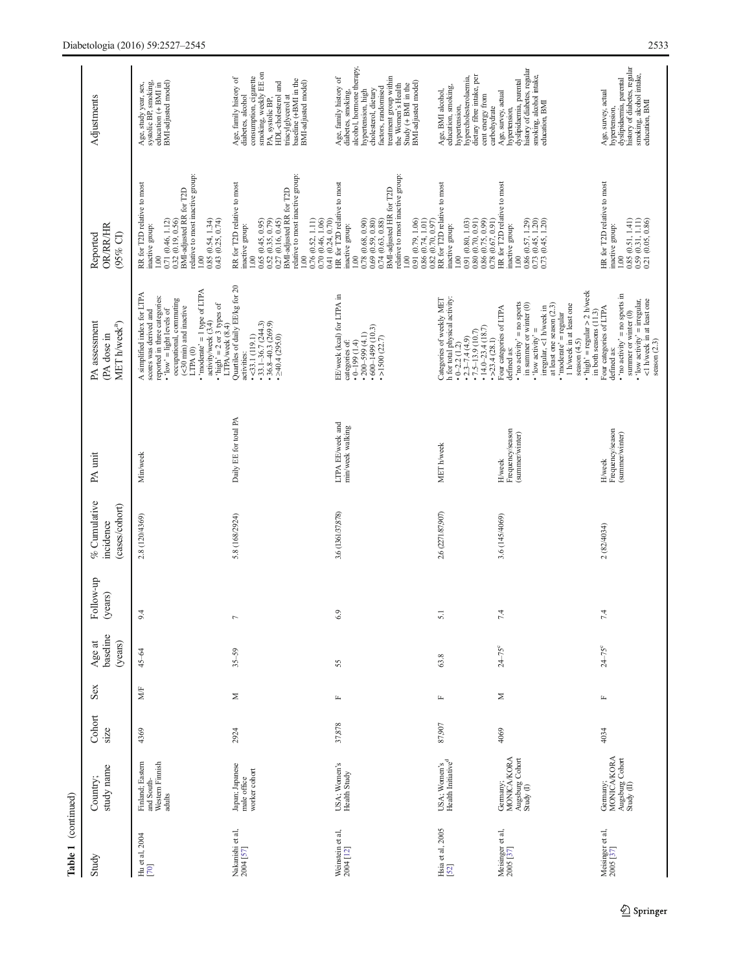| Table 1 (continued)                 |                                                                 |                |              |                               |                      |                                             |                                                       |                                                                                                                                                                                                                                                                                                                                                         |                                                                                                                                                                                                                                                                                                                                                                        |                                                                                                                                                                                                                                                |
|-------------------------------------|-----------------------------------------------------------------|----------------|--------------|-------------------------------|----------------------|---------------------------------------------|-------------------------------------------------------|---------------------------------------------------------------------------------------------------------------------------------------------------------------------------------------------------------------------------------------------------------------------------------------------------------------------------------------------------------|------------------------------------------------------------------------------------------------------------------------------------------------------------------------------------------------------------------------------------------------------------------------------------------------------------------------------------------------------------------------|------------------------------------------------------------------------------------------------------------------------------------------------------------------------------------------------------------------------------------------------|
| Study                               | study name<br>Country                                           | Cohort<br>size | Sex          | baseline<br>(years)<br>Age at | Follow-up<br>(years) | % Cumulative<br>(cases/cohort)<br>incidence | PA unit                                               | PA assessment<br>MET h/week <sup>a</sup> )<br>(PA dose in                                                                                                                                                                                                                                                                                               | <b>OR/RR/HR</b><br>$(95%$ CI)<br>Reported                                                                                                                                                                                                                                                                                                                              | Adjustments                                                                                                                                                                                                                                    |
| Hu et al, 2004<br>$\left[70\right]$ | Finland; Eastern<br>Western Finnish<br>and South-<br>adults     | 4369           | MÆ           | 45-64                         | 4<br>$\circ$         | 2.8 (120/4369)                              | Min/week                                              | • 'moderate' = 1 type of LTPA<br>activity/week $(3.4)$<br>A simplified index for LTPA<br>scores was derived and<br>reported in three categories:<br>occupational, commuting<br>• 'high' = 2 or 3 types of<br>LTPA/week $(8.4)$<br>(<30 min) and inactive<br>$\cdot$ 'low' = light levels of<br>LTPA <sub>(0)</sub>                                      | relative to most inactive group:<br>RR for T2D relative to most<br>inactive group:<br>BMI-adjusted RR for T2D<br>0.85(0.54, 1.34)<br>$\begin{array}{c} 1.00 \\ 0.71 \ (0.46, 1.12) \end{array}$<br>0.32 (0.19, 0.56)<br>0.43(0.25, 0.74)<br>1.00                                                                                                                       | BMI-adjusted model)<br>systolic BP, smoking,<br>Age, study year, sex,<br>education (+ BMI in                                                                                                                                                   |
| Nakanishi et al,<br>2004 [57]       | Japan; Japanese<br>worker cohort<br>male office                 | 2924           | Σ            | $35 - 59$                     | Γ                    | 5.8 (168/2924)                              | Daily EE for total PA                                 | Quartiles of daily EE/kg for 20<br>$\cdot$ 33.1-36.7 (244.3)<br>$\cdot$ 36.8-40.3 (269.9)<br>$\cdot$ >40.4 (295.0)<br>$-33.1(119.1)$<br>activities:                                                                                                                                                                                                     | relative to most inactive group:<br>RR for T2D relative to most<br>BMI-adjusted RR for T2D<br>$\begin{array}{c} 0.65 \ (0.45, \ 0.95) \\ 0.52 \ (0.35, \ 0.79) \\ 0.27 \ (0.16, \ 0.45) \end{array}$<br>$\begin{array}{c} 0.76 \ (0.52, \, 1.11) \\ 0.70 \ (0.46, \, 1.06) \end{array}$<br>inactive group:<br>$\frac{1}{100}$<br>001                                   | smoking, weekly EE on<br>consumption, cigarette<br>Age, family history of<br>baseline (+BMI in the<br>BMI-adjusted model)<br>HDL-cholesterol and<br>diabetes, alcohol<br>triacylglycerol at<br>PA, systolic BP.                                |
| Weinstein et al,<br>$2004$ [12]     | USA; Women's<br>Health Study                                    | 37,878         | $\mathbf{L}$ | 55                            | $\circ$<br>$\circ$   | 3.6 (1361/37,878)                           | LTPA EE/week and<br>min/week walking                  | EE/week (kcal) for LTPA in<br>$•600-1499(10.3)$<br>$\cdot$ 200-599 (4.1)<br>$\cdot$ >1500 (22.7)<br>categories of:<br>(1.199(1.4)                                                                                                                                                                                                                       | relative to most inactive group:<br>HR for T2D relative to most<br>BMI-adjusted HR for T2D<br>0.78 (0.68, 0.90)<br>$\begin{array}{c} 0.69 \ (0.59, \ 0.80) \\ 0.74 \ (0.63, \ 0.88) \end{array}$<br>$\begin{array}{c} 0.91\ (0.79, 1.06) \\ 0.86\ (0.74, 1.01) \\ 0.82\ (0.70, 0.97) \end{array}$<br>0.41 (0.24, 0.70)<br>inactive group:<br>$1.00\,$<br>$\frac{0}{1}$ | Age, family history of<br>diabetes, smoking,<br>alcohol, hormone therapy,<br>treatment group within<br>the Women's Health<br>BMI-adjusted model)<br>Study $(+$ BMI in the<br>factors, randomised<br>hypertension, high<br>cholesterol, dietary |
| Hsia et al, 2005<br>[52]            | USA; Women's<br>Health Initiative <sup>d</sup>                  | 87,907         | $\mathbf{L}$ | 63.8                          | 5.1                  | 2.6 (2271/87,907)                           | MET h/week                                            | Categories of weekly MET<br>h for total physical activity:<br>• 0-2.2 (1.2)<br>$\cdot$ 14.0-23.4 (18.7)<br>$\div 2.3 - 7.4(4.9)$<br>$\div 7.5 - 13.9(10.7)$                                                                                                                                                                                             | RR for T2D relative to most<br>0.91(0.80, 1.03)<br>$\begin{array}{c} 0.80\ (0.70,\ 0.91) \\ 0.86\ (0.75,\ 0.99) \end{array}$<br>inactive group:<br>1.00                                                                                                                                                                                                                | dietary fibre intake, per<br>hypercholesterolaemia,<br>education, smoking,<br>Age, BMI alcohol,<br>cent energy from<br>hypertension,                                                                                                           |
| Meisinger et al,<br>2005 [37]       | <b>MONICA/KORA</b><br>Augsburg Cohort<br>Study (I)<br>Germany;  | 4069           | Σ            | $24 - 75^{\circ}$             | 4<br>r.              | 3.6 (145/4069)                              | Frequency/season<br>(summer/winter)<br>H/week         | • 'high' = regular > 2 h/week<br>in both seasons (11.3)<br>• 'no activity' = no sports<br>in summer or winter (0)<br>at least one season (2.3)<br>1 h/week in at least one<br>Four categories of LTPA<br>irregular, <1 h/week in<br>$\cdot$ 'moderate' = regular<br>$\bullet$ 'low activity' =<br>$\cdot$ >23.4 (28.1)<br>season $(4.5)$<br>defined as: | HR for T2D relative to most<br>$\begin{array}{c} 0.86\ (0.57, \, 1.29) \\ 0.73\ (0.45, \, 1.20) \\ 0.73\ (0.45, \, 1.20) \end{array}$<br>0.78(0.67, 0.91)<br>inactive group:<br>1.00                                                                                                                                                                                   | history of diabetes, regular<br>smoking, alcohol intake,<br>dyslipidaemia, parental<br>Age, survey, actual<br>education, BMI<br>carbohydrate<br>hypertension,                                                                                  |
| Meisinger et al,<br>$2005$ [37]     | <b>MONICA/KORA</b><br>Augsburg Cohort<br>Study (II)<br>Germany; | 4034           | $\mathbf{L}$ | $24 - 75^{\circ}$             | 4<br>7               | 2 (82/4034)                                 | Frequency/season<br>(summer/winter)<br><b>H</b> /week | 'no $\arcsin y' = \text{no}$ sports in<br>$\bullet$ 'low activity' = irregular,<br><1 h/week in at least one<br>Four categories of LTPA<br>summer or winter (0)<br>season $(2.3)$<br>defined as:                                                                                                                                                        | HR for T2D relative to most<br>$\begin{array}{c} 0.85\ (0.51,\, 1.41)\\ 0.59\ (0.31,\, 1.11)\\ 0.21\ (0.05,\, 0.86) \end{array}$<br>inactive group:<br>1.00                                                                                                                                                                                                            | history of diabetes, regular<br>smoking, alcohol intake,<br>dyslipidaemia, parental<br>Age, survey, actual<br>education, BMI<br>hypertension,                                                                                                  |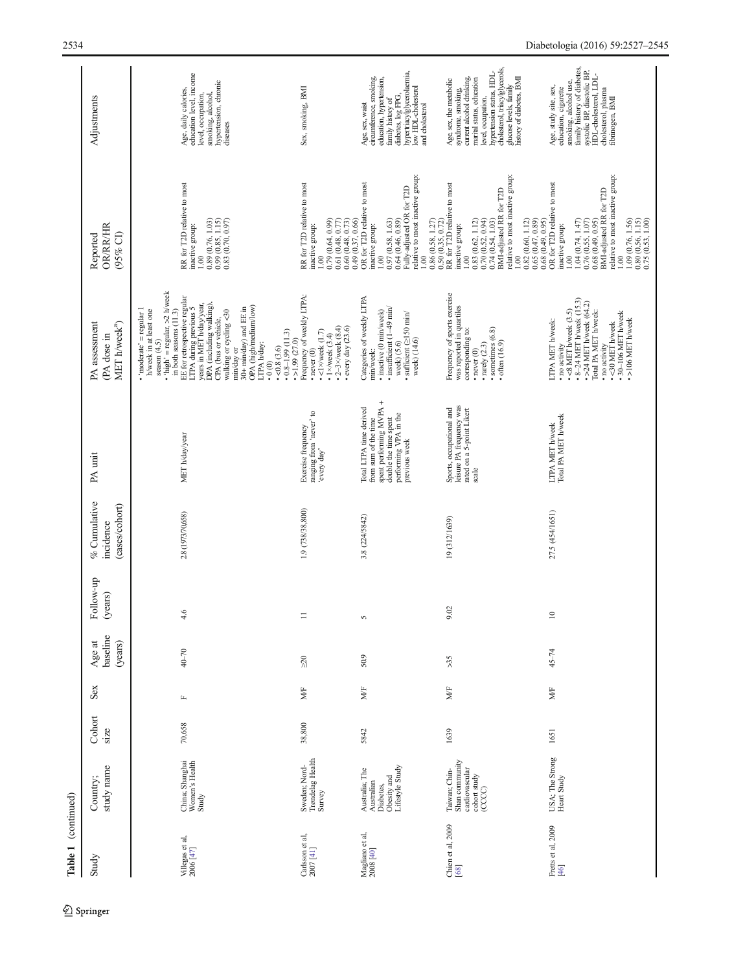| Table 1 (continued)                                                  |                                                                             |                |                        |                               |                      |                                             |                                                                                                                                               |                                                                                                                                                                                                                                                                                                                                                                                                                                                                                           |                                                                                                                                                                                                                                                                                                    |                                                                                                                                                                                                                                                    |
|----------------------------------------------------------------------|-----------------------------------------------------------------------------|----------------|------------------------|-------------------------------|----------------------|---------------------------------------------|-----------------------------------------------------------------------------------------------------------------------------------------------|-------------------------------------------------------------------------------------------------------------------------------------------------------------------------------------------------------------------------------------------------------------------------------------------------------------------------------------------------------------------------------------------------------------------------------------------------------------------------------------------|----------------------------------------------------------------------------------------------------------------------------------------------------------------------------------------------------------------------------------------------------------------------------------------------------|----------------------------------------------------------------------------------------------------------------------------------------------------------------------------------------------------------------------------------------------------|
| Study                                                                | study name<br>Country;                                                      | Cohort<br>size | Sex                    | baseline<br>(years)<br>Age at | Follow-up<br>(years) | % Cumulative<br>(cases/cohort)<br>incidence | PA unit                                                                                                                                       | PA assessment<br>MET h/week <sup>a</sup> )<br>(PA dose in                                                                                                                                                                                                                                                                                                                                                                                                                                 | <b>OR/RR/HR</b><br>$(95\%$ CI)<br>Reported                                                                                                                                                                                                                                                         | Adjustments                                                                                                                                                                                                                                        |
| Villegas et al,<br>$2006\left[47\right]$                             | Women's Health<br>China; Shanghai<br>Study                                  | 70,658         | $\mathbb{L}$           | $40 - 70$                     | 4.6                  | 2.8 (1973/70,658)                           | MET h/day/year                                                                                                                                | $\cdot$ 'high' = regular, >2 h/week<br>EE for retrospective regular<br>LTPA during previous 5<br>years in MET h/day/year,<br>DPA (including walking),<br>OPA (high/medium/low)<br>30+ min/day) and EE in<br>$\cdot$ 'moderate' = regular 1<br>walking or cycling <30<br>h/week in at least one<br>in both seasons (11.3)<br>CPA (bus or vehicle,<br>$-0.8 - 1.99$ (11.3)<br>$\bullet$ >1.99 (27.0)<br>season $(4.5)$<br>LTPA h/day:<br>$\cdot$ <0.8 (3.6)<br>min/day or<br>$\ddot{.}0(0)$ | RR for T2D relative to most<br>0.99(0.85, 1.15)<br>0.89(0.76, 1.03)<br>0.83(0.70, 0.97)<br>inactive group:<br>1.00                                                                                                                                                                                 | education level, income<br>hypertension, chronic<br>diseases<br>Age, daily calories,<br>level, occupation,<br>smoking, alcohol,                                                                                                                    |
| Carlsson et al,<br>$2007$ [41]                                       | Sweden; Nord-<br>Trøndelag Health<br>Survey                                 | 38,800         | MÆ                     | $\approx 0$                   | $\equiv$             | 1.9 (738/38,800)                            | ranging from 'never' to<br>'every day'<br>Exercise frequency                                                                                  | Frequency of weekly LTPA:<br>• $2 - 3 \times$ /week $(8.4)$<br>every day $(23.6)$<br>$\bullet$ <1×/week (1.7)<br>$\cdot$ 1×/week (3.4)<br>$\cdot$ never $(0)$                                                                                                                                                                                                                                                                                                                             | RR for T2D relative to most<br>$\frac{1.00}{0.79(0.64, 0.99)}$<br>0.60(0.48, 0.73)<br>0.61(0.48, 0.77)<br>0.49 (0.37, 0.66)<br>inactive group:                                                                                                                                                     | Sex, smoking, BMI                                                                                                                                                                                                                                  |
| $\begin{array}{c} \text{Magiano et al,} \\ 2008 \, [40] \end{array}$ | Lifestyle Study<br>Australia; The<br>Obesity and<br>Australian<br>Diabetes, | 5842           | $\mathbf{M}\mathbf{F}$ | 50.9                          | $\sim$               | 3.8 (224/5842)                              | spent performing MVPA +<br>Total LTPA time derived<br>double the time spent<br>performing VPA in the<br>previous week<br>from sum of the time | Categories of weekly LTPA<br>$\cdot$ insufficient (1-49 min/<br>$\cdot$ inactive $(0 \text{ min/we}$<br>$\bullet$ sufficient ( $\geq$ 150 min/<br>week) (14.6)<br>week) (5.6)<br>min/week:                                                                                                                                                                                                                                                                                                | Fully-adjusted OR for T2D<br>relative to most inactive group:<br>OR for T2D relative to most<br>0.97(0.58, 1.63)<br>0.64(0.46, 0.89)<br>$0.86\ (0.58,\,1.27)\\ 0.50\ (0.35,\,0.72)$<br>inactive group:<br>00.1<br>00.1                                                                             | hypertriacylglycerolaemia,<br>low HDL-cholesterol<br>circumference, smoking,<br>education, hypertension,<br>diabetes, log FPG,<br>family history of<br>Age, sex, waist<br>and cholesterol                                                          |
| Chien et al, 2009<br>[68]                                            | Shan community<br>cardiovascular<br>Taiwan; Chin-<br>cohort study<br>(CCCC) | 1639           | MÆ                     | >35                           | 9.02                 | 19 (312/1639)                               | Sports, occupational and<br>leisure PA frequency was<br>rated on a 5-point Likert<br>scale                                                    | Frequency of sports exercise<br>was reported in quartiles<br>• sometimes $(6.8)$<br>• often $(16.9)$<br>corresponding to:<br>$\cdot$ rarely $(2.3)$<br>$\cdot$ never $(0)$                                                                                                                                                                                                                                                                                                                | relative to most inactive group:<br>RR for T2D relative to most<br>BMI-adjusted RR for T2D<br>$\begin{array}{c} 0.83\ (0.62, 1.12) \\ 0.70\ (0.52, 0.94) \\ 0.74\ (0.54, 1.03) \end{array}$<br>0.65(0.47, 0.89)<br>0.82(0.60, 1.12)<br>0.68(0.49, 0.95)<br>inactive group:<br>1.00<br>0.001        | cholesterol, triacylglycerols,<br>hypertension status, HDL-<br>current alcohol drinking,<br>history of diabetes, BMI<br>marital status, education<br>Age, sex, the metabolic<br>syndrome, smoking,<br>glucose levels, family<br>level, occupation, |
| Fretts et al, 2009<br>[46]                                           | USA; The Strong<br>Heart Study                                              | 1651           | MÆ                     | $45 - 74$                     | $\approx$            | 27.5 (454/1651)                             | LTPA MET h/week<br>Total PA MET h/week                                                                                                        | $-8-24$ MET h/week (15.3)<br>$\cdot$ >24 MET h/week (64.2)<br>$\bullet$ <8 MET h/week $(3.5)$<br>Total PA MET h/week:<br>$\cdot$ 30-106 MET h/week<br>•>106 MET h/week<br>LTPA MET h/week:<br>·< 30 MET h/week<br>• no activity<br>· no activity                                                                                                                                                                                                                                          | relative to most inactive group:<br>OR for T2D relative to most<br>BMI-adjusted RR for T2D<br>1.04(0.74, 1.47)<br>$\begin{array}{c} 1.09 \ (0.76, 1.56) \\ 0.80 \ (0.56, 1.15) \\ 0.75 \ (0.53, 1.00) \end{array}$<br>0.76(0.55, 1.07)<br>0.68(0.49, 0.95)<br>inactive group:<br>00.1<br>$\approx$ | family history of diabetes,<br>systolic BP, diastolic BP,<br>HDL-cholesterol, LDL-<br>smoking, alcohol use,<br>Age, study site, sex,<br>education, cigarette<br>cholesterol, plasma<br>fibrinogen, BMI                                             |

 $\underline{\textcircled{\tiny 2}}$  Springer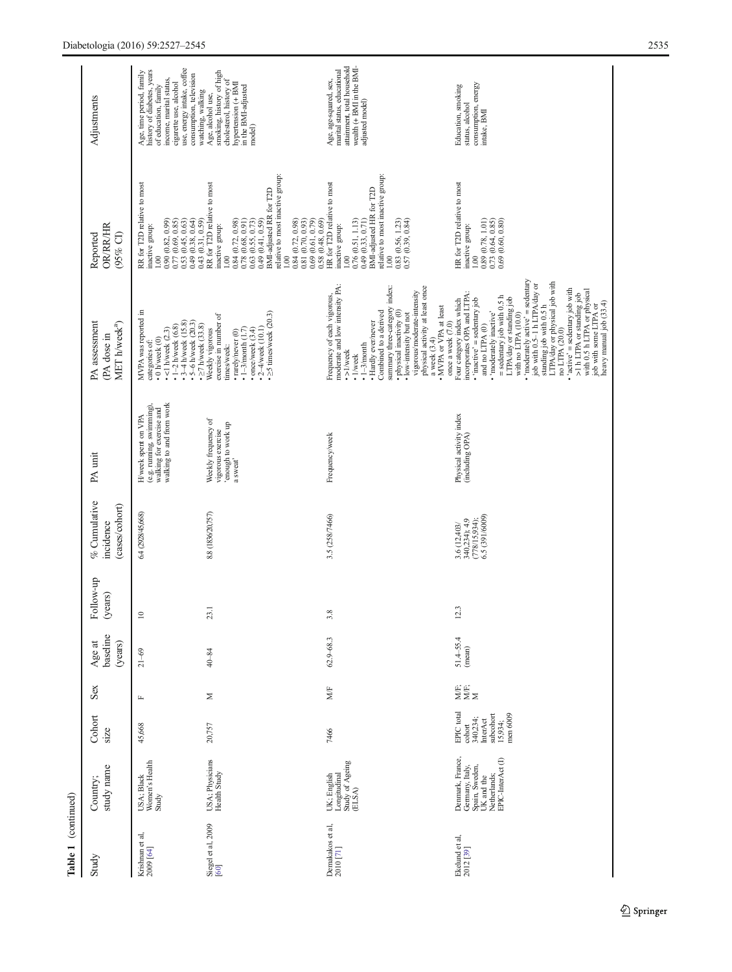| Table 1 (continued)           |                                                                                                                          |                                                                                  |              |                               |                      |                                                                  |                                                                                                         |                                                                                                                                                                                                                                                                                                                                                                                                                                                                                                                                                                         |                                                                                                                                                                                                                                                                                                                                                                                     |                                                                                                                                                                                              |
|-------------------------------|--------------------------------------------------------------------------------------------------------------------------|----------------------------------------------------------------------------------|--------------|-------------------------------|----------------------|------------------------------------------------------------------|---------------------------------------------------------------------------------------------------------|-------------------------------------------------------------------------------------------------------------------------------------------------------------------------------------------------------------------------------------------------------------------------------------------------------------------------------------------------------------------------------------------------------------------------------------------------------------------------------------------------------------------------------------------------------------------------|-------------------------------------------------------------------------------------------------------------------------------------------------------------------------------------------------------------------------------------------------------------------------------------------------------------------------------------------------------------------------------------|----------------------------------------------------------------------------------------------------------------------------------------------------------------------------------------------|
| Study                         | study name<br>Country;                                                                                                   | Cohort<br>size                                                                   | Sex          | baseline<br>(years)<br>Age at | Follow-up<br>(years) | % Cumulative<br>(cases/cohort)<br>incidence                      | PA unit                                                                                                 | PA assessment<br>MET h/week <sup>a</sup> )<br>(PA dose in                                                                                                                                                                                                                                                                                                                                                                                                                                                                                                               | OR/RR/HR<br>(95% CI)<br>Reported                                                                                                                                                                                                                                                                                                                                                    | Adjustments                                                                                                                                                                                  |
| Krishnan et al,<br>2009 [64]  | USA; Black<br>Women's Health<br>Study                                                                                    | 45,668                                                                           | $\mathbf{L}$ | $21 - 69$                     | $\approx$            | 6.4 (2928/45,668)                                                | walking to and from work<br>(e.g. running, swimming)<br>walking for exercise and<br>H/week spent on VPA | MVPA was reported in<br>$-3 - 4$ h/week (15.8)<br>$-5 - 6$ h/week $(20.3)$<br>$\cdot$ 1-2 h/weck (6.8)<br>$\bullet$ <1 h/week (2.3)<br>$\bullet$ 0 h/week (0)<br>categories of:                                                                                                                                                                                                                                                                                                                                                                                         | RR for T2D relative to most<br>$\begin{array}{c} 0.53\ (0.45,\ 0.63)\\ 0.49\ (0.38,\ 0.64)\\ 0.43\ (0.31,\ 0.59) \end{array}$<br>$\begin{array}{c} 0.90\ (0.82,\ 0.99) \\ 0.77\ (0.69,\ 0.85) \end{array}$<br>inactive group:<br>00.1                                                                                                                                               | use, energy intake, coffee<br>history of diabetes, years<br>Age, time period, family<br>consumption, television<br>income, marital status,<br>cigarette use, alcohol<br>of education, family |
| Siegel et al, 2009<br>[60]    | USA; Physicians<br>Health Study                                                                                          | 20,757                                                                           | Σ            | 40-84                         | 23.1                 | 8.8 (1836/20,757)                                                | Weekly frequency of<br>dn xuow on qonoua,<br>vigorous exercise<br>a sweat'                              | $\cdot$ $\geq$ 5 times/week (20.3)<br>exercise in number of<br>$\cdot$ $\geq$ 7 h/week (33.8)<br>• $2-4$ /week (10.1)<br>$-1 - 3$ /month $(1.7)$<br>$\cdot$ once/week $(3.4)$<br>Weekly vigorous<br>$\cdot$ rarely/never $(0)$<br>times/week:                                                                                                                                                                                                                                                                                                                           | relative to most inactive group:<br>RR for T2D relative to most<br>0.84 (0.72, 0.98)<br>0.78 (0.68, 0.91)<br>0.63 (0.55, 0.73)<br>0.49 (0.41, 0.59)<br>BMI-adjusted RR for T2D<br>$\begin{array}{c} 1.00 \\ 0.84 \ (0.72, \ 0.98) \\ 0.81 \ (0.70, \ 0.93) \end{array}$<br>$\begin{array}{c} 0.69 \ (0.61, \ 0.79) \\ 0.58 \ (0.48, \ 0.69) \end{array}$<br>inactive group:<br>1.00 | smoking, history of high<br>cholesterol, history of<br>hypertension (+ BMI<br>in the BMI-adjusted<br>watching, walking<br>Age, alcohol use,<br>model)                                        |
| Demakakos et al,<br>2010 [71] | Longitudinal<br>Study of Ageing<br>UK; English<br>(ELSA)                                                                 | 7466                                                                             | MÆ           | $62.9 - 68.3$                 | 3.8                  | 3.5 (258/7466)                                                   | Frequency/week                                                                                          | moderate and low intensity PA:<br>physical activity at least once<br>summary three-category index:<br>• physical inactivity (0)<br>vigorous/moderate-intensity<br>Frequency of each vigorous,<br>• MVPA or VPA at least<br>Combined to a derived<br>· low-intensity but not<br>• Hardly ever/never<br>a week (3.4)<br>$\cdot$ 1-3/month<br>$\cdot$ >1/week<br>• 1/week                                                                                                                                                                                                  | relative to most inactive group:<br>HR for T2D relative to most<br>BMI-adjusted HR for T2D<br>0.76(0.51, 1.13)<br>0.49(0.33, 0.71)<br>$\begin{array}{c} 0.83\ (0.56,\ 1.23) \\ 0.57\ (0.39,\ 0.84) \end{array}$<br>inactive group:<br>00.1<br>$\overline{0}$                                                                                                                        | attainment, total household<br>wealth (+ BMI in the BMI-<br>marital status, educational<br>Age, age-squared, sex,<br>adjusted model)                                                         |
| Ekelund et al, $2012$ [39]    | Denmark, France,<br>Germany, Italy,<br>Spain, Sweden,<br>UK and the<br>Netherlands;<br>Netherlands;<br>EPIC-InterAct (I) | EPIC total<br>subcohort<br>men 6009<br>340,234;<br>InterAct<br>15,934;<br>cohort | ¥Ë<br>XX     | $51.4 - 55.4$<br>(mean)       | 12.3                 | 6.5 (391/6009)<br>340,234); 4.9<br>(778/15,934);<br>3.6 (12,403/ | Physical activity index<br>(including OPA)                                                              | $\cdot$ 'moderately active' = sedentary<br>LTPA/day or physical job with<br>job with 0.5-1 h LTPA/day or<br>$\bullet$ 'active' = sedentary job with<br>with 0.5 h LTPA or physical<br>incorporates OPA and LTPA:<br>>1 h LTPA or standing job<br>= sedentary job with 0.5 h<br>LTPA/day or standing job<br>Four category index which<br>$\bullet$ 'inactive' = sedentary job<br>heavy manual job (33.4)<br>standing job with 0.5 h<br>job with some LTPA or<br>· 'moderately inactive'<br>with no LTPA (10.0)<br>once a week (7.0)<br>and no LTPA (0)<br>no LTPA (20.0) | HR for T2D relative to most<br>$\begin{array}{c} 0.89 \ (0.78, 1.01) \\ 0.73 \ (0.64, 0.85) \\ 0.69 \ (0.60, 0.80) \end{array}$<br>inactive group:<br>1.00                                                                                                                                                                                                                          | consumption, energy<br>Education, smoking<br>status, alcohol<br>intake, BMI                                                                                                                  |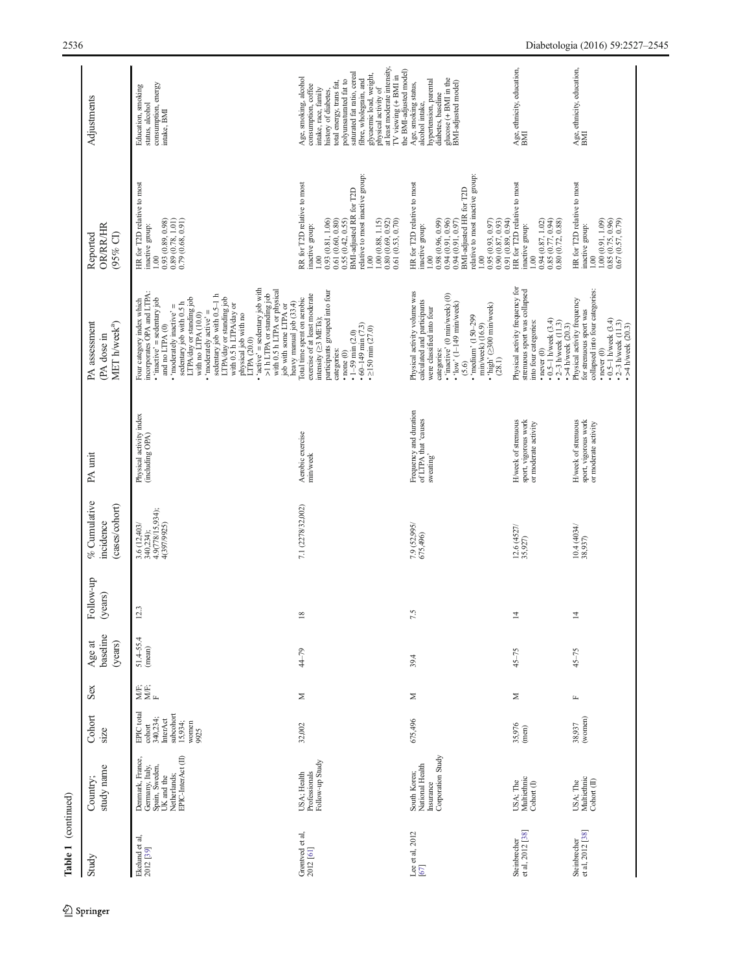| Table 1 (continued)              |                                                                                                           |                                                                                                |              |                               |                      |                                                              |                                                                     |                                                                                                                                                                                                                                                                                                                                                                                                                                                                                                                     |                                                                                                                                                                                                                                                                                              |                                                                                                                                                                                                                                                                                                                        |
|----------------------------------|-----------------------------------------------------------------------------------------------------------|------------------------------------------------------------------------------------------------|--------------|-------------------------------|----------------------|--------------------------------------------------------------|---------------------------------------------------------------------|---------------------------------------------------------------------------------------------------------------------------------------------------------------------------------------------------------------------------------------------------------------------------------------------------------------------------------------------------------------------------------------------------------------------------------------------------------------------------------------------------------------------|----------------------------------------------------------------------------------------------------------------------------------------------------------------------------------------------------------------------------------------------------------------------------------------------|------------------------------------------------------------------------------------------------------------------------------------------------------------------------------------------------------------------------------------------------------------------------------------------------------------------------|
| Study                            | study name<br>Country;                                                                                    | Cohort<br>size                                                                                 | Sex          | baseline<br>(years)<br>Age at | Follow-up<br>(years) | % Cumulative<br>(cases/cohort)<br>incidence                  | PA unit                                                             | PA assessment<br>MET h/week <sup>a</sup> )<br>(PA dose in                                                                                                                                                                                                                                                                                                                                                                                                                                                           | <b>OR/RR/HR</b><br>(95% CI)<br>Reported                                                                                                                                                                                                                                                      | Adjustments                                                                                                                                                                                                                                                                                                            |
| Ekelund et al, $2012\ [39]$      | EPIC-InterAct (II)<br>Denmark, France,<br>Germany, Italy,<br>Spain, Sweden,<br>Netherlands;<br>UK and the | EPIC total<br>subcohort<br>340,234;<br>InterAct<br>15,934;<br>women<br>$\text{cohort}$<br>9925 | yë;<br>Xe;   | $51.4 - 55.4$<br>(mean)       | Ξ.                   | 340,234);<br>4.9(778/15,934);<br>3.6 (12,403/<br>4(397/9925) | Physical activity index<br>(including OPA)                          | • 'active' = sedentary job with $>1$ h LTPA or standing job<br>with 0.5 h LTPA or physical<br>Four category index which<br>incorporates OPA and LTPA:<br>sedentary job with 0.5-1 h<br>LTPA/day or standing job<br>LTPA/day or standing job<br>$\bullet$ 'inactive' = sedentary job<br>sedentary job with 0.5 h<br>with 0.5 h LTPA/day or<br>$\bullet$ 'moderately inactive' =<br>job with some LTPA or<br>'moderately active' =<br>with no LTPA (10.0)<br>physical job with no<br>and no LTPA $(0)$<br>LTPA (20.0) | HR for T2D relative to most<br>inactive group:<br>$\begin{array}{c} 0.93\ (0.89,\,0.98) \\ 0.89\ (0.78,\,1.01) \\ 0.79\ (0.68,\,0.91) \end{array}$<br>1.00                                                                                                                                   | consumption, energy<br>Education, smoking<br>status, alcohol<br>intake, BMI                                                                                                                                                                                                                                            |
| Grøntved et al,<br>2012 [61]     | Follow-up Study<br>USA; Health<br>Professionals                                                           | 32,002                                                                                         | Σ            | 44-79                         | $\overline{18}$      | 7.1 (2278/32,002)                                            | Aerobic exercise<br>min/week                                        | participants grouped into four<br>exercise of at least moderate<br>Total time spent on aerobic<br>heavy manual job (33.4)<br>intensity (> METs);<br>$\cdot$ 60-149 min (7.3)<br>$\cdot$ $\geq$ 150 min (27.0)<br>$\cdot$ 1-59 min (2.0)<br>categories:<br>$\cdot$ none $(0)$                                                                                                                                                                                                                                        | relative to most inactive group:<br>RR for T2D relative to most<br>BMI-adjusted RR for T2D<br>0.61 (0.60, 0.80)<br>0.93 (0.81, 1.06)<br>$\begin{array}{c} 1.00\ (0.88,\ 1.15)\\ 0.80\ (0.69,\ 0.92) \end{array}$<br>0.55(0.42, 0.55)<br>0.61 (0.53, 0.70)<br>inactive group:<br>1.00<br>1.00 | at least moderate intensity,<br>saturated fat ratio, cereal<br>glycaemic load, weight,<br>IV viewing (+ BMI in<br>Age, smoking, alcohol<br>fibre, wholegrain, and<br>polyunsaturated fat to<br>total energy, trans fat,<br>consumption, coffee<br>physical activity of<br>intake, race, family<br>history of diabetes, |
| Lee et al. 2012<br>[67]          | Corporation Study<br>National Health<br>South Korea;<br>Insurance                                         | 675,496                                                                                        | Σ            | 39.4                          | 7.5                  | 7.9 (52,995/<br>675,496)                                     | Frequency and duration<br>of LTPA that 'causes<br>sweating'         | Physical activity volume was<br>$\cdot$ 'inactive' (0 min/week) (0)<br>calculated and participants<br>$\cdot$ 'low' (1-149 min/week)<br>min/week) (16.9)<br>• 'high' (≥300 min/week)<br>were classified into four<br>· 'medium' (150-299<br>categories:<br>(28.1)<br>(5.6)                                                                                                                                                                                                                                          | relative to most inactive group:<br>HR for T2D relative to most<br>BMI-adjusted HR for T2D<br>0.98 (0.96, 0.99)<br>$\begin{array}{c} 0.94 \ (0.91, \ 0.96) \\ 0.94 \ (0.91, \ 0.97) \end{array}$<br>0.95(0.93, 0.97)<br>0.90(0.87, 0.93)<br>inactive group:<br>1.00<br>1.00                  | the BMI-adjusted model)<br>glucose (+ BMI in the<br>hypertension, parental<br>BMI-adjusted model)<br>Age, smoking status,<br>diabetes, baseline<br>alcohol intake,                                                                                                                                                     |
| Steinbrecher<br>et al, 2012 [38] | USA; The<br>Multiethnic<br>Cohort (I)                                                                     | $35,976$<br>(men)                                                                              | Σ            | $45 - 75$                     | $\overline{4}$       | 12.6 (4527/35,927)                                           | H/week of strenuous<br>sport, vigorous work<br>or moderate activity | Physical activity frequency for<br>strenuous sport was collapsed<br>$\cdot$ 0.5-1 h/week (3.4)<br>into four categories:<br>$-2 - 3$ h/week $(11.3)$<br>$\cdot$ never $(0)$                                                                                                                                                                                                                                                                                                                                          | HR for T2D relative to most<br>0.94(0.87, 1.02)<br>$0.85\ (0.77,\ 0.94) \\ 0.80\ (0.72,\ 0.88)$<br>0.91(0.89, 0.94)<br>inactive group:<br>1.00                                                                                                                                               | Age, ethnicity, education,<br>BMI                                                                                                                                                                                                                                                                                      |
| et al, 2012 [38]<br>Steinbrecher | USA; The Multiethnic<br>Cohort (II)                                                                       | 38,937<br>(women)                                                                              | $\mathbf{L}$ | $45 - 75$                     | $\overline{4}$       | 10.4(4034)<br>38,937)                                        | H/week of strenuous<br>sport, vigorous work<br>or moderate activity | collapsed into four categories:<br>Physical activity frequency<br>for strenuous sport was<br>$\cdot$ 0.5-1 h/week (3.4)<br>• $2-3$ h/week (11.3)<br>• >4 h/week (20.3)<br>$\cdot$ >4 h/week (20.3)<br>$\cdot$ never $(0)$                                                                                                                                                                                                                                                                                           | HR for T2D relative to most<br>$\begin{array}{c} 0.85\ (0.75,\ 0.96) \\ 0.67\ (0.57,\ 0.79) \end{array}$<br>1.00(0.91, 1.09)<br>inactive group:<br>1.00                                                                                                                                      | Age, ethnicity, education,<br>BMI                                                                                                                                                                                                                                                                                      |

 $\underline{\textcircled{\tiny 2}}$  Springer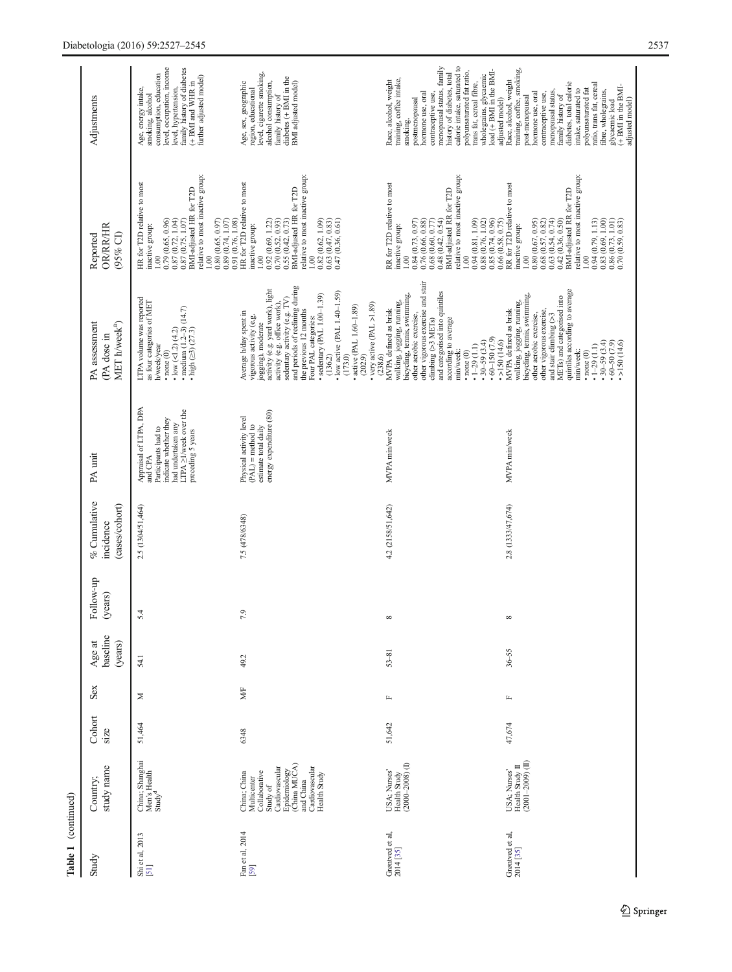| Table 1                      | (continued)                                                                                                                                               |                |              |                               |                     |                                            |                                                                                                                                                          |                                                                                                                                                                                                                                                                                                                                                                                                                                         |                                                                                                                                                                                                                                                                                                                                                                                                          |                                                                                                                                                                                                                                                                                                                                                                           |
|------------------------------|-----------------------------------------------------------------------------------------------------------------------------------------------------------|----------------|--------------|-------------------------------|---------------------|--------------------------------------------|----------------------------------------------------------------------------------------------------------------------------------------------------------|-----------------------------------------------------------------------------------------------------------------------------------------------------------------------------------------------------------------------------------------------------------------------------------------------------------------------------------------------------------------------------------------------------------------------------------------|----------------------------------------------------------------------------------------------------------------------------------------------------------------------------------------------------------------------------------------------------------------------------------------------------------------------------------------------------------------------------------------------------------|---------------------------------------------------------------------------------------------------------------------------------------------------------------------------------------------------------------------------------------------------------------------------------------------------------------------------------------------------------------------------|
| Study                        | study name<br>Country;                                                                                                                                    | Cohort<br>size | Sex          | baseline<br>Age at<br>(years) | Follow-up<br>years) | % Cumulative<br>cases/cohort)<br>incidence | PA unit                                                                                                                                                  | PA assessment<br>MET h/week <sup>a</sup> )<br>(PA dose in                                                                                                                                                                                                                                                                                                                                                                               | OR/RR/HR<br>(95% CI)<br>Reported                                                                                                                                                                                                                                                                                                                                                                         | Adjustments                                                                                                                                                                                                                                                                                                                                                               |
| Shi et al, 2013<br>[51]      | China; Shanghai<br>Men's Health<br>Study <sup>d</sup>                                                                                                     | 51,464         | Z            | 54.1                          | 4<br>5              | 2.5 (1304/51,464)                          | Appraisal of LTPA, DPA<br>LTPA $\geq$ 1/week over the preceding 5 years<br>indicate whether they<br>had undertaken any<br>Participants had to<br>and CPA | LTPA volume was reported<br>as four categories of MET<br>• $\frac{\log (12)(4.2)}{\log (1.2-3)(14.7)}$<br>$\cdot$ high $(25)(27.3)$<br>h/week/year<br>$\cdot$ none $(0)$                                                                                                                                                                                                                                                                | relative to most inactive group:<br>HR for T2D relative to most<br>BMI-adjusted HR for T2D<br>$\begin{array}{c} 0.79 \ (0.65, \ 0.96) \\ 0.87 \ (0.72, \ 1.04) \end{array}$<br>0.89(0.74, 1.07)<br>0.80(0.65, 0.97)<br>0.87(0.75, 1.07)<br>inactive group:<br>1.00<br>1.00                                                                                                                               | level, occupation, income<br>family history of diabetes<br>consumption, education<br>further adjusted model)<br>$(+$ BMI and WHR in<br>Age, energy intake,<br>smoking, alcohol<br>level, hypertension,                                                                                                                                                                    |
| Fan et al, 2014<br>[59]      | Epidemiology<br>(China MUCA)<br>Cardiovascular<br>Cardiovascular<br>Collaborative<br>China; China<br>Health Study<br>Multicenter<br>and China<br>Study of | 6348           | MÆ           | 49.2                          | ٥                   | 7.5 (478/6348)                             | energy expenditure (80)<br>Physical activity level<br>$(PAL)$ = method to<br>estimate total daily                                                        | and periods of reclining during<br>activity (e.g. yard work), light<br>$\cdot$ low active (PAL 1.40-1.59)<br>$\bullet$ sedentary (PAL 1.00-1.39)<br>sedentary activity (e.g. TV)<br>activity (e.g. office work),<br>• very active (PAL >1.89)<br>• active (PAL 1.60-1.89)<br>the previous 12 months<br>Average h/day spent in<br>vigorous activity (e.g.<br>Four PAL categories:<br>jogging), moderate<br>(173.0)<br>(136.2)<br>(202.9) | relative to most inactive group:<br>HR for T2D relative to most<br>BMI-adjusted HR for T2D<br>$\begin{array}{c} 0.63\ (0.47,\ 0.83) \\ 0.47\ (0.36,\ 0.61) \end{array}$<br>0.91 (0.76, 1.08)<br>0.92(0.69, 1.22)<br>0.70(0.52, 0.93)<br>0.82(0.62, 1.09)<br>0.55(0.42, 0.73)<br>inactive group:<br>1.00<br>00.1                                                                                          | level, cigarette smoking,<br>diabetes $(+$ BMI in the<br>alcohol consumption,<br>BMI adjusted model)<br>Age, sex, geographic<br>region, educational<br>family history of                                                                                                                                                                                                  |
| Grøntved et al, $2014$ [35]  | $(2000 - 2008)$ (I)<br>USA; Nurses<br>Health Study                                                                                                        | 51,642         | $\mathbf{L}$ | $53 - 81$                     | $\infty$            | 4.2 (2158/51,642)                          | MVPA min/week                                                                                                                                            | other vigorous exercise and stair<br>and categorised into quintiles<br>bicycling, tennis, swimming,<br>walking, jogging, running,<br>MVPA defined as brisk<br>other aerobic exercise,<br>climbing (>3 METs)<br>according to average<br>$.60 - 150(7.9)$<br>$\cdot$ 1-29 (1.1)<br>$\cdot$ 30-59 (3.4)<br>min/week:<br>$\cdot$ none $(0)$<br>(238.6)                                                                                      | relative to most inactive group:<br>RR for T2D relative to most<br>BMI-adjusted RR for T2D<br>0.76(0.66, 0.88)<br>0.84(0.73, 0.97)<br>$\begin{array}{c} 0.94 \ (0.81, 1.09) \\ 0.88 \ (0.76, 1.02) \end{array}$<br>0.85 (0.74, 0.96)<br>0.68(0.60, 0.77)<br>0.48(0.42, 0.54)<br>inactive group:<br>$\approx$<br>1.00                                                                                     | calorie intake, saturated to<br>menopausal status, family<br>wholegrains, glycaemic<br>load (+ BMI in the BMI-<br>polyunsaturated fat ratio,<br>history of diabetes, total<br>training, coffee intake,<br>Race, alcohol, weight<br>trans fat, cereal fibre,<br>hormone use, oral<br>contraceptive use,<br>postmenopausal<br>smoking,                                      |
| Grøntved et al,<br>2014 [35] | $(2001 - 2009)$ (II)<br>USA; Nurses'<br>Health Study II                                                                                                   | 47,674         | $\mathbb{L}$ | $36 - 55$                     | $^{\circ}$          | 2.8 (1333/47,674)                          | MVPA min/week                                                                                                                                            | quintiles according to average<br>bicycling, tennis, swimming,<br>METs) and categorised into<br>walking, jogging, running,<br>other vigorous exercise,<br>MVPA defined as brisk<br>other aerobic exercise,<br>and stair climbing $(>3$<br>$\cdot$ >150 (14.6)<br>$-30 - 59(3.4)$<br>$.60 - 50(7.9)$<br>>150(14.6)<br>$\cdot$ 1-29 (1.1)<br>min/week:<br>$\cdot$ none $(0)$                                                              | relative to most inactive group:<br>RR for T2D relative to most<br>BMI-adjusted RR for T2D<br>$\begin{array}{c} 0.80\ (0.67, \, 0.95)\\ 0.68\ (0.57, \, 0.82)\\ 0.63\ (0.54, \, 0.74) \end{array}$<br>$\begin{array}{c} 0.83\ (0.69,\,1.00)\\ 0.86\ (0.73,\,1.01)\\ 0.70\ (0.59,\,0.83) \end{array}$<br>0.94(0.79, 1.13)<br>0.66(0.58, 0.75)<br>0.42(0.36, 0.50)<br>inactive group:<br>00.1<br>$\approx$ | training, coffee, smoking,<br>Race, alcohol, weight<br>diabetes, total calorie<br>ratio, trans fat, cereal<br>glycaemic load<br>$(+$ BMI in the BMI-<br>intake, saturated to<br>polyunsaturated fat<br>fibre, wholegrains,<br>menopausal status,<br>hormone use, oral<br>contraceptive use,<br>family history of<br>post-menopausal<br>adjusted model)<br>adjusted model) |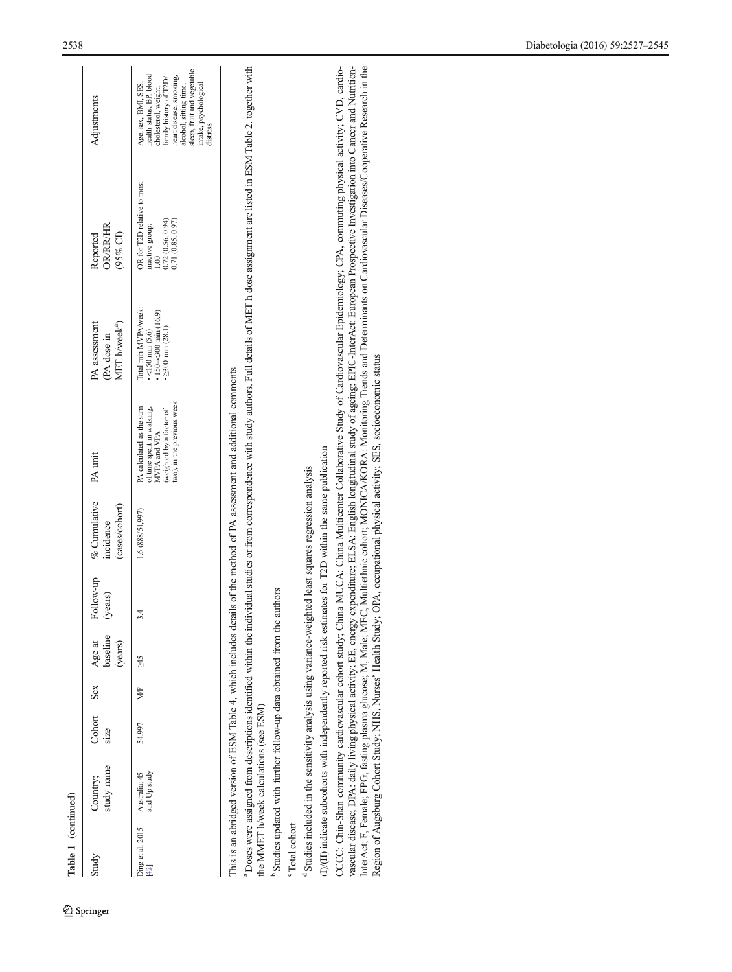| study name<br>and Up study<br>Australia; 45<br>Country;<br>Ding et al, 2015<br>[42]<br>Study                                                                        | Cohort<br>54,997<br>size | Sex<br>MF |                               |                      |                                             | PA unit                                                                                                                         |                                                                                                             |                                                                                                                                                                                                                                                                                                                                                                                                                                                                                                                                                                                                  |                                                                                                                                                                                                                          |
|---------------------------------------------------------------------------------------------------------------------------------------------------------------------|--------------------------|-----------|-------------------------------|----------------------|---------------------------------------------|---------------------------------------------------------------------------------------------------------------------------------|-------------------------------------------------------------------------------------------------------------|--------------------------------------------------------------------------------------------------------------------------------------------------------------------------------------------------------------------------------------------------------------------------------------------------------------------------------------------------------------------------------------------------------------------------------------------------------------------------------------------------------------------------------------------------------------------------------------------------|--------------------------------------------------------------------------------------------------------------------------------------------------------------------------------------------------------------------------|
|                                                                                                                                                                     |                          |           | baseline<br>Age at<br>(years) | Follow-up<br>(years) | % Cumulative<br>(cases/cohort)<br>incidence |                                                                                                                                 | PA assessment<br>MET h/week <sup>a</sup> )<br>(PA dose in                                                   | OR/RR/HR<br>$(95%$ CI)<br>Reported                                                                                                                                                                                                                                                                                                                                                                                                                                                                                                                                                               | Adjustments                                                                                                                                                                                                              |
|                                                                                                                                                                     |                          |           | St<br>V                       | $\frac{3}{4}$        | 1.6 (888/54,997)                            | two), in the previous week<br>PA calculated as the sum<br>of time spent in walking,<br>(weighted by a factor of<br>MVPA and VPA | Total min MVPA/week:<br>$\cdot$ 150 $-$ 300 min (16.9)<br>$\geq 300$ min $(28.1)$<br>$\cdot$ <150 min (5.6) | OR for T2D relative to most<br>$\begin{array}{c} 1.00 \\ 0.72 \ (0.56, \ 0.94) \\ 0.71 \ (0.85, \ 0.97) \end{array}$<br>inactive group:                                                                                                                                                                                                                                                                                                                                                                                                                                                          | sleep, fruit and vegetable<br>nealth status, BP, blood<br>neart disease, smoking,<br>family history of T2D/<br>Age, sex, BMI, SES,<br>ntake, psychological<br>alcohol, sitting time,<br>cholesterol, weight,<br>distress |
| This is an abridged version of ESM Table 4, which includes details of the method of PA assessment and additional comments<br>the MMET h/week calculations (see ESM) |                          |           |                               |                      |                                             |                                                                                                                                 |                                                                                                             | <sup>a</sup> Doses were assigned from descriptions identified within the individual studies or from correspondence with study authors. Full details of MET h dose assignment are listed in ESM Table 2, together with                                                                                                                                                                                                                                                                                                                                                                            |                                                                                                                                                                                                                          |
| <sup>b</sup> Studies updated with further follow-up data obtained from the authors                                                                                  |                          |           |                               |                      |                                             |                                                                                                                                 |                                                                                                             |                                                                                                                                                                                                                                                                                                                                                                                                                                                                                                                                                                                                  |                                                                                                                                                                                                                          |
| <sup>c</sup> Total cohort                                                                                                                                           |                          |           |                               |                      |                                             |                                                                                                                                 |                                                                                                             |                                                                                                                                                                                                                                                                                                                                                                                                                                                                                                                                                                                                  |                                                                                                                                                                                                                          |
| <sup>d</sup> Studies included in the sensitivity analysis using variance-weighted least squares regression analysis                                                 |                          |           |                               |                      |                                             |                                                                                                                                 |                                                                                                             |                                                                                                                                                                                                                                                                                                                                                                                                                                                                                                                                                                                                  |                                                                                                                                                                                                                          |
| $(J)/(II)$ indicate subcohorts with independently reported risk estimates for T2D within the same publication                                                       |                          |           |                               |                      |                                             |                                                                                                                                 |                                                                                                             |                                                                                                                                                                                                                                                                                                                                                                                                                                                                                                                                                                                                  |                                                                                                                                                                                                                          |
| Region of Augsburg Cohort Study; NHS, Nurses' Health Study;                                                                                                         |                          |           |                               |                      |                                             | OPA, occupational physical activity; SES, socioeconomic status                                                                  |                                                                                                             | CCCC: Chin-Shan community cardiovascular cohort study; China MCCA: China Multicenter Collaborative Study of Cardiovascular Epidemiology; CPA, commuting physical activity; CVD, cardio-<br>InterAct; F, Female; FPG, fasting plasma glucose; M, Male; MEC, Multiethnic cohort; MONICA/KORA: Monitoring Trends and Determinants on Cardiovascular Diseases/Cooperative Research in the<br>vascular disease; DPA: daily living physical activity; EE, energy expenditure; ELSA: English longitudinal study of ageing; EPIC-InterAct: European Prospective Investigation into Cancer and Nutrition- |                                                                                                                                                                                                                          |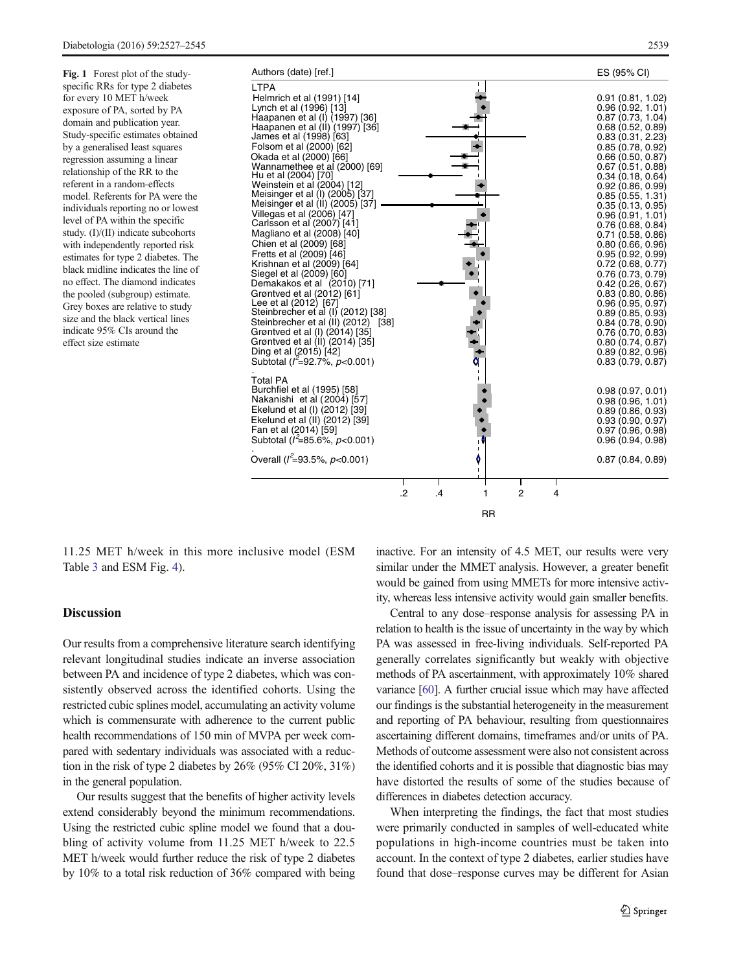<span id="page-12-0"></span>Fig. 1 Forest plot of the studyspecific RRs for type 2 diabetes for every 10 MET h/week exposure of PA, sorted by PA domain and publication year. Study-specific estimates obtained by a generalised least squares regression assuming a linear relationship of the RR to the referent in a random-effects model. Referents for PA were the individuals reporting no or lowest level of PA within the specific study. (I)/(II) indicate subcohorts with independently reported risk estimates for type 2 diabetes. The black midline indicates the line of no effect. The diamond indicates the pooled (subgroup) estimate. Grey boxes are relative to study size and the black vertical lines indicate 95% CIs around the effect size estimate



11.25 MET h/week in this more inclusive model (ESM Table 3 and ESM Fig. 4).

# **Discussion**

Our results from a comprehensive literature search identifying relevant longitudinal studies indicate an inverse association between PA and incidence of type 2 diabetes, which was consistently observed across the identified cohorts. Using the restricted cubic splines model, accumulating an activity volume which is commensurate with adherence to the current public health recommendations of 150 min of MVPA per week compared with sedentary individuals was associated with a reduction in the risk of type 2 diabetes by 26% (95% CI 20%, 31%) in the general population.

Our results suggest that the benefits of higher activity levels extend considerably beyond the minimum recommendations. Using the restricted cubic spline model we found that a doubling of activity volume from 11.25 MET h/week to 22.5 MET h/week would further reduce the risk of type 2 diabetes by 10% to a total risk reduction of 36% compared with being inactive. For an intensity of 4.5 MET, our results were very similar under the MMET analysis. However, a greater benefit would be gained from using MMETs for more intensive activity, whereas less intensive activity would gain smaller benefits.

Central to any dose–response analysis for assessing PA in relation to health is the issue of uncertainty in the way by which PA was assessed in free-living individuals. Self-reported PA generally correlates significantly but weakly with objective methods of PA ascertainment, with approximately 10% shared variance [[60](#page-17-0)]. A further crucial issue which may have affected our findings is the substantial heterogeneity in the measurement and reporting of PA behaviour, resulting from questionnaires ascertaining different domains, timeframes and/or units of PA. Methods of outcome assessment were also not consistent across the identified cohorts and it is possible that diagnostic bias may have distorted the results of some of the studies because of differences in diabetes detection accuracy.

When interpreting the findings, the fact that most studies were primarily conducted in samples of well-educated white populations in high-income countries must be taken into account. In the context of type 2 diabetes, earlier studies have found that dose–response curves may be different for Asian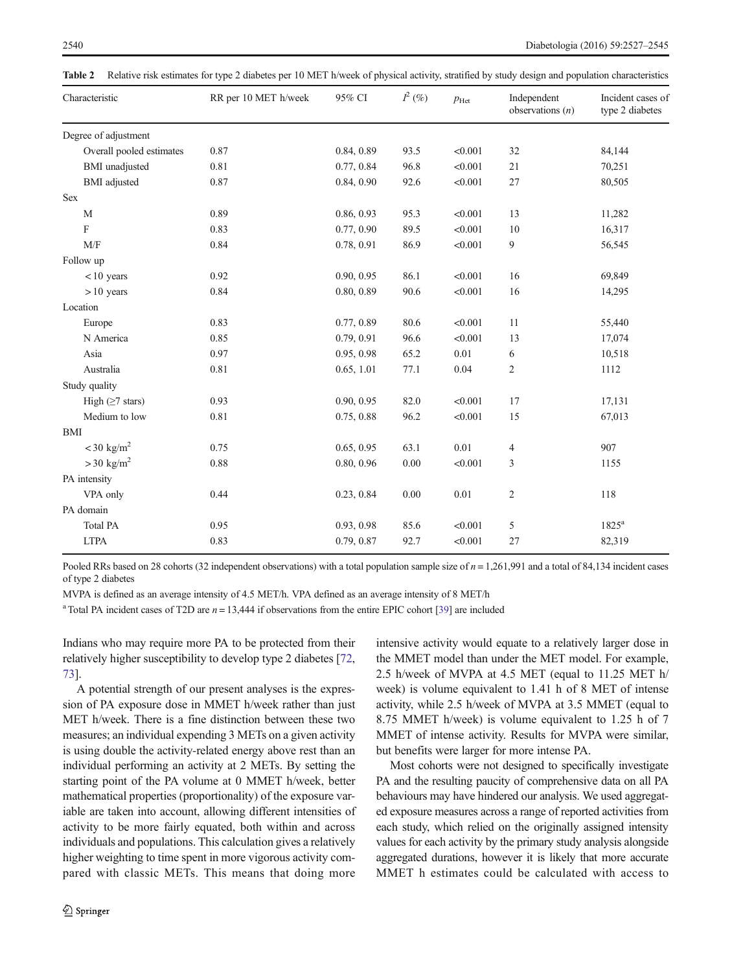| Characteristic           | RR per 10 MET h/week | 95% CI     | $I^2\left(\% \right)$ | $p_{\text{Het}}$ | Independent<br>observations $(n)$ | Incident cases of<br>type 2 diabetes |
|--------------------------|----------------------|------------|-----------------------|------------------|-----------------------------------|--------------------------------------|
| Degree of adjustment     |                      |            |                       |                  |                                   |                                      |
| Overall pooled estimates | 0.87                 | 0.84, 0.89 | 93.5                  | < 0.001          | 32                                | 84,144                               |
| <b>BMI</b> unadjusted    | 0.81                 | 0.77, 0.84 | 96.8                  | < 0.001          | 21                                | 70,251                               |
| <b>BMI</b> adjusted      | 0.87                 | 0.84, 0.90 | 92.6                  | < 0.001          | 27                                | 80,505                               |
| Sex                      |                      |            |                       |                  |                                   |                                      |
| $\mathbf M$              | 0.89                 | 0.86, 0.93 | 95.3                  | < 0.001          | 13                                | 11,282                               |
| F                        | 0.83                 | 0.77, 0.90 | 89.5                  | < 0.001          | 10                                | 16,317                               |
| M/F                      | 0.84                 | 0.78, 0.91 | 86.9                  | < 0.001          | 9                                 | 56,545                               |
| Follow up                |                      |            |                       |                  |                                   |                                      |
| $< 10$ years             | 0.92                 | 0.90, 0.95 | 86.1                  | < 0.001          | 16                                | 69,849                               |
| $>10$ years              | 0.84                 | 0.80, 0.89 | 90.6                  | < 0.001          | 16                                | 14,295                               |
| Location                 |                      |            |                       |                  |                                   |                                      |
| Europe                   | 0.83                 | 0.77, 0.89 | 80.6                  | < 0.001          | 11                                | 55,440                               |
| N America                | 0.85                 | 0.79, 0.91 | 96.6                  | < 0.001          | 13                                | 17,074                               |
| Asia                     | 0.97                 | 0.95, 0.98 | 65.2                  | 0.01             | 6                                 | 10,518                               |
| Australia                | 0.81                 | 0.65, 1.01 | 77.1                  | 0.04             | $\overline{2}$                    | 1112                                 |
| Study quality            |                      |            |                       |                  |                                   |                                      |
| High $(≥7 stars)$        | 0.93                 | 0.90, 0.95 | 82.0                  | < 0.001          | 17                                | 17,131                               |
| Medium to low            | 0.81                 | 0.75, 0.88 | 96.2                  | < 0.001          | 15                                | 67,013                               |
| BMI                      |                      |            |                       |                  |                                   |                                      |
| $<$ 30 kg/m <sup>2</sup> | 0.75                 | 0.65, 0.95 | 63.1                  | 0.01             | $\overline{4}$                    | 907                                  |
| $>$ 30 kg/m <sup>2</sup> | 0.88                 | 0.80, 0.96 | $0.00\,$              | < 0.001          | 3                                 | 1155                                 |
| PA intensity             |                      |            |                       |                  |                                   |                                      |
| VPA only                 | 0.44                 | 0.23, 0.84 | 0.00                  | 0.01             | $\overline{c}$                    | 118                                  |
| PA domain                |                      |            |                       |                  |                                   |                                      |
| <b>Total PA</b>          | 0.95                 | 0.93, 0.98 | 85.6                  | < 0.001          | 5                                 | $1825^a$                             |
| <b>LTPA</b>              | 0.83                 | 0.79, 0.87 | 92.7                  | < 0.001          | 27                                | 82,319                               |

<span id="page-13-0"></span>Table 2 Relative risk estimates for type 2 diabetes per 10 MET h/week of physical activity, stratified by study design and population characteristics

Pooled RRs based on 28 cohorts (32 independent observations) with a total population sample size of  $n = 1,261,991$  and a total of 84,134 incident cases of type 2 diabetes

MVPA is defined as an average intensity of 4.5 MET/h. VPA defined as an average intensity of 8 MET/h

<sup>a</sup> Total PA incident cases of T2D are  $n = 13,444$  if observations from the entire EPIC cohort [\[39](#page-17-0)] are included

Indians who may require more PA to be protected from their relatively higher susceptibility to develop type 2 diabetes [[72,](#page-18-0) [73\]](#page-18-0).

A potential strength of our present analyses is the expression of PA exposure dose in MMET h/week rather than just MET h/week. There is a fine distinction between these two measures; an individual expending 3 METs on a given activity is using double the activity-related energy above rest than an individual performing an activity at 2 METs. By setting the starting point of the PA volume at 0 MMET h/week, better mathematical properties (proportionality) of the exposure variable are taken into account, allowing different intensities of activity to be more fairly equated, both within and across individuals and populations. This calculation gives a relatively higher weighting to time spent in more vigorous activity compared with classic METs. This means that doing more

intensive activity would equate to a relatively larger dose in the MMET model than under the MET model. For example, 2.5 h/week of MVPA at 4.5 MET (equal to 11.25 MET h/ week) is volume equivalent to 1.41 h of 8 MET of intense activity, while 2.5 h/week of MVPA at 3.5 MMET (equal to 8.75 MMET h/week) is volume equivalent to 1.25 h of 7 MMET of intense activity. Results for MVPA were similar, but benefits were larger for more intense PA.

Most cohorts were not designed to specifically investigate PA and the resulting paucity of comprehensive data on all PA behaviours may have hindered our analysis. We used aggregated exposure measures across a range of reported activities from each study, which relied on the originally assigned intensity values for each activity by the primary study analysis alongside aggregated durations, however it is likely that more accurate MMET h estimates could be calculated with access to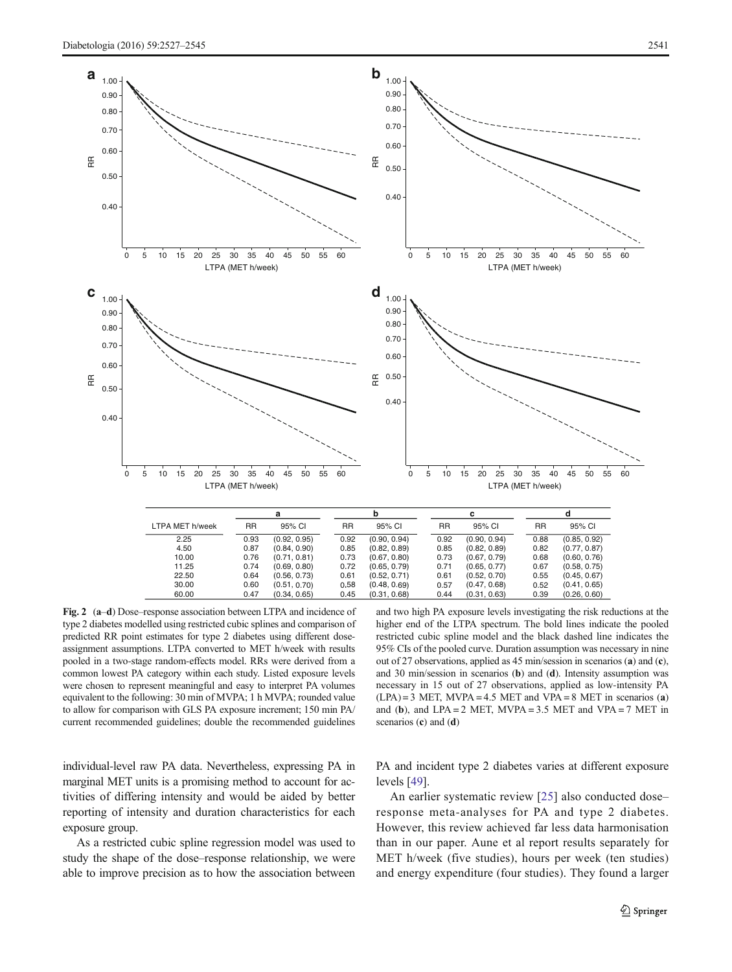<span id="page-14-0"></span>

Fig. 2 (a–d) Dose–response association between LTPA and incidence of type 2 diabetes modelled using restricted cubic splines and comparison of predicted RR point estimates for type 2 diabetes using different doseassignment assumptions. LTPA converted to MET h/week with results pooled in a two-stage random-effects model. RRs were derived from a common lowest PA category within each study. Listed exposure levels were chosen to represent meaningful and easy to interpret PA volumes equivalent to the following: 30 min of MVPA; 1 h MVPA; rounded value to allow for comparison with GLS PA exposure increment; 150 min PA/ current recommended guidelines; double the recommended guidelines

individual-level raw PA data. Nevertheless, expressing PA in marginal MET units is a promising method to account for activities of differing intensity and would be aided by better reporting of intensity and duration characteristics for each exposure group.

As a restricted cubic spline regression model was used to study the shape of the dose–response relationship, we were able to improve precision as to how the association between

and two high PA exposure levels investigating the risk reductions at the higher end of the LTPA spectrum. The bold lines indicate the pooled restricted cubic spline model and the black dashed line indicates the 95% CIs of the pooled curve. Duration assumption was necessary in nine out of 27 observations, applied as 45 min/session in scenarios (a) and (c), and 30 min/session in scenarios (b) and (d). Intensity assumption was necessary in 15 out of 27 observations, applied as low-intensity PA  $(LPA) = 3$  MET, MVPA = 4.5 MET and VPA = 8 MET in scenarios (a) and (b), and  $LPA = 2$  MET,  $MVPA = 3.5$  MET and  $VPA = 7$  MET in scenarios (c) and (d)

PA and incident type 2 diabetes varies at different exposure levels [\[49](#page-17-0)].

An earlier systematic review [[25\]](#page-16-0) also conducted dose– response meta-analyses for PA and type 2 diabetes. However, this review achieved far less data harmonisation than in our paper. Aune et al report results separately for MET h/week (five studies), hours per week (ten studies) and energy expenditure (four studies). They found a larger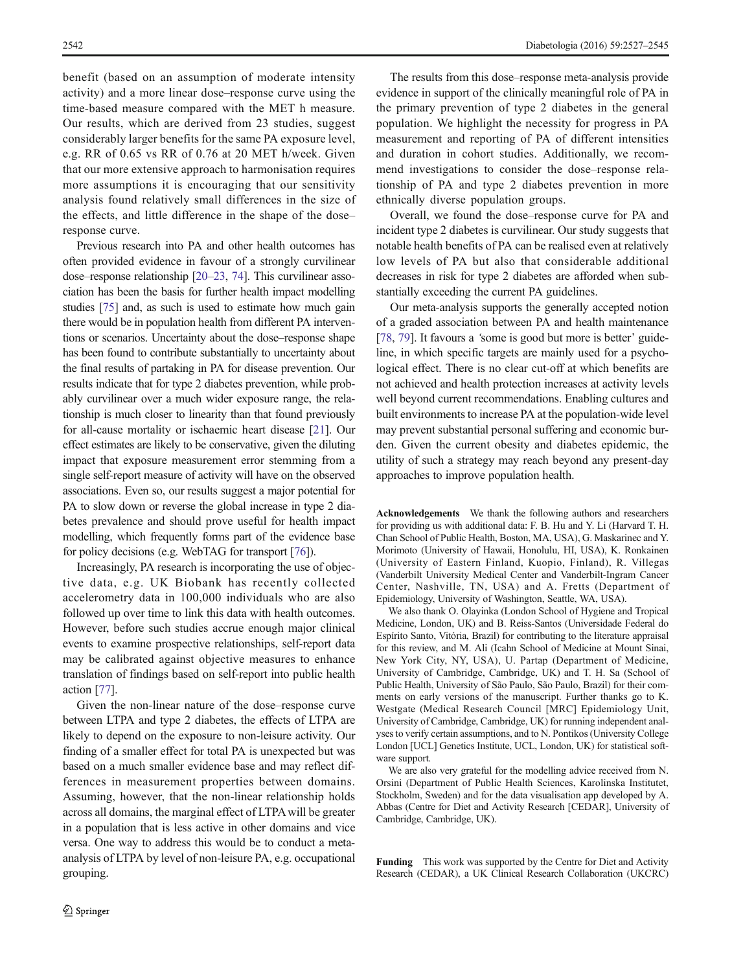benefit (based on an assumption of moderate intensity activity) and a more linear dose–response curve using the time-based measure compared with the MET h measure. Our results, which are derived from 23 studies, suggest considerably larger benefits for the same PA exposure level, e.g. RR of 0.65 vs RR of 0.76 at 20 MET h/week. Given that our more extensive approach to harmonisation requires more assumptions it is encouraging that our sensitivity analysis found relatively small differences in the size of the effects, and little difference in the shape of the dose– response curve.

Previous research into PA and other health outcomes has often provided evidence in favour of a strongly curvilinear dose–response relationship [\[20](#page-16-0)–[23](#page-16-0), [74](#page-18-0)]. This curvilinear association has been the basis for further health impact modelling studies [[75](#page-18-0)] and, as such is used to estimate how much gain there would be in population health from different PA interventions or scenarios. Uncertainty about the dose–response shape has been found to contribute substantially to uncertainty about the final results of partaking in PA for disease prevention. Our results indicate that for type 2 diabetes prevention, while probably curvilinear over a much wider exposure range, the relationship is much closer to linearity than that found previously for all-cause mortality or ischaemic heart disease [[21\]](#page-16-0). Our effect estimates are likely to be conservative, given the diluting impact that exposure measurement error stemming from a single self-report measure of activity will have on the observed associations. Even so, our results suggest a major potential for PA to slow down or reverse the global increase in type 2 diabetes prevalence and should prove useful for health impact modelling, which frequently forms part of the evidence base for policy decisions (e.g. WebTAG for transport [\[76\]](#page-18-0)).

Increasingly, PA research is incorporating the use of objective data, e.g. UK Biobank has recently collected accelerometry data in 100,000 individuals who are also followed up over time to link this data with health outcomes. However, before such studies accrue enough major clinical events to examine prospective relationships, self-report data may be calibrated against objective measures to enhance translation of findings based on self-report into public health action [\[77](#page-18-0)].

Given the non-linear nature of the dose–response curve between LTPA and type 2 diabetes, the effects of LTPA are likely to depend on the exposure to non-leisure activity. Our finding of a smaller effect for total PA is unexpected but was based on a much smaller evidence base and may reflect differences in measurement properties between domains. Assuming, however, that the non-linear relationship holds across all domains, the marginal effect of LTPA will be greater in a population that is less active in other domains and vice versa. One way to address this would be to conduct a metaanalysis of LTPA by level of non-leisure PA, e.g. occupational grouping.

The results from this dose–response meta-analysis provide evidence in support of the clinically meaningful role of PA in the primary prevention of type 2 diabetes in the general population. We highlight the necessity for progress in PA measurement and reporting of PA of different intensities and duration in cohort studies. Additionally, we recommend investigations to consider the dose–response relationship of PA and type 2 diabetes prevention in more ethnically diverse population groups.

Overall, we found the dose–response curve for PA and incident type 2 diabetes is curvilinear. Our study suggests that notable health benefits of PA can be realised even at relatively low levels of PA but also that considerable additional decreases in risk for type 2 diabetes are afforded when substantially exceeding the current PA guidelines.

Our meta-analysis supports the generally accepted notion of a graded association between PA and health maintenance [\[78](#page-18-0), [79\]](#page-18-0). It favours a 'some is good but more is better' guideline, in which specific targets are mainly used for a psychological effect. There is no clear cut-off at which benefits are not achieved and health protection increases at activity levels well beyond current recommendations. Enabling cultures and built environments to increase PA at the population-wide level may prevent substantial personal suffering and economic burden. Given the current obesity and diabetes epidemic, the utility of such a strategy may reach beyond any present-day approaches to improve population health.

Acknowledgements We thank the following authors and researchers for providing us with additional data: F. B. Hu and Y. Li (Harvard T. H. Chan School of Public Health, Boston, MA, USA), G. Maskarinec and Y. Morimoto (University of Hawaii, Honolulu, HI, USA), K. Ronkainen (University of Eastern Finland, Kuopio, Finland), R. Villegas (Vanderbilt University Medical Center and Vanderbilt-Ingram Cancer Center, Nashville, TN, USA) and A. Fretts (Department of Epidemiology, University of Washington, Seattle, WA, USA).

We also thank O. Olayinka (London School of Hygiene and Tropical Medicine, London, UK) and B. Reiss-Santos (Universidade Federal do Espírito Santo, Vitória, Brazil) for contributing to the literature appraisal for this review, and M. Ali (Icahn School of Medicine at Mount Sinai, New York City, NY, USA), U. Partap (Department of Medicine, University of Cambridge, Cambridge, UK) and T. H. Sa (School of Public Health, University of São Paulo, São Paulo, Brazil) for their comments on early versions of the manuscript. Further thanks go to K. Westgate (Medical Research Council [MRC] Epidemiology Unit, University of Cambridge, Cambridge, UK) for running independent analyses to verify certain assumptions, and to N. Pontikos (University College London [UCL] Genetics Institute, UCL, London, UK) for statistical software support.

We are also very grateful for the modelling advice received from N. Orsini (Department of Public Health Sciences, Karolinska Institutet, Stockholm, Sweden) and for the data visualisation app developed by A. Abbas (Centre for Diet and Activity Research [CEDAR], University of Cambridge, Cambridge, UK).

Funding This work was supported by the Centre for Diet and Activity Research (CEDAR), a UK Clinical Research Collaboration (UKCRC)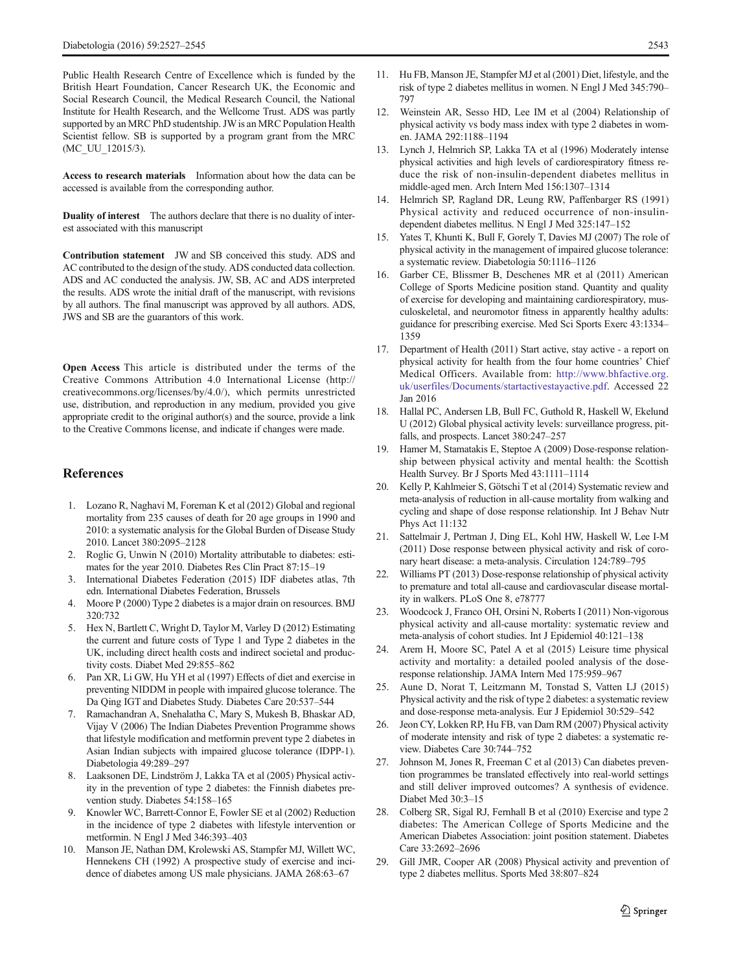<span id="page-16-0"></span>Public Health Research Centre of Excellence which is funded by the British Heart Foundation, Cancer Research UK, the Economic and Social Research Council, the Medical Research Council, the National Institute for Health Research, and the Wellcome Trust. ADS was partly supported by an MRC PhD studentship. JW is an MRC Population Health Scientist fellow. SB is supported by a program grant from the MRC (MC\_UU\_12015/3).

Access to research materials Information about how the data can be accessed is available from the corresponding author.

Duality of interest The authors declare that there is no duality of interest associated with this manuscript

Contribution statement JW and SB conceived this study. ADS and AC contributed to the design of the study. ADS conducted data collection. ADS and AC conducted the analysis. JW, SB, AC and ADS interpreted the results. ADS wrote the initial draft of the manuscript, with revisions by all authors. The final manuscript was approved by all authors. ADS, JWS and SB are the guarantors of this work.

Open Access This article is distributed under the terms of the Creative Commons Attribution 4.0 International License (http:// creativecommons.org/licenses/by/4.0/), which permits unrestricted use, distribution, and reproduction in any medium, provided you give appropriate credit to the original author(s) and the source, provide a link to the Creative Commons license, and indicate if changes were made.

### **References**

- 1. Lozano R, Naghavi M, Foreman K et al (2012) Global and regional mortality from 235 causes of death for 20 age groups in 1990 and 2010: a systematic analysis for the Global Burden of Disease Study 2010. Lancet 380:2095–2128
- 2. Roglic G, Unwin N (2010) Mortality attributable to diabetes: estimates for the year 2010. Diabetes Res Clin Pract 87:15–19
- 3. International Diabetes Federation (2015) IDF diabetes atlas, 7th edn. International Diabetes Federation, Brussels
- 4. Moore P (2000) Type 2 diabetes is a major drain on resources. BMJ 320:732
- 5. Hex N, Bartlett C, Wright D, Taylor M, Varley D (2012) Estimating the current and future costs of Type 1 and Type 2 diabetes in the UK, including direct health costs and indirect societal and productivity costs. Diabet Med 29:855–862
- 6. Pan XR, Li GW, Hu YH et al (1997) Effects of diet and exercise in preventing NIDDM in people with impaired glucose tolerance. The Da Qing IGT and Diabetes Study. Diabetes Care 20:537–544
- 7. Ramachandran A, Snehalatha C, Mary S, Mukesh B, Bhaskar AD, Vijay V (2006) The Indian Diabetes Prevention Programme shows that lifestyle modification and metformin prevent type 2 diabetes in Asian Indian subjects with impaired glucose tolerance (IDPP-1). Diabetologia 49:289–297
- 8. Laaksonen DE, Lindström J, Lakka TA et al (2005) Physical activity in the prevention of type 2 diabetes: the Finnish diabetes prevention study. Diabetes 54:158–165
- 9. Knowler WC, Barrett-Connor E, Fowler SE et al (2002) Reduction in the incidence of type 2 diabetes with lifestyle intervention or metformin. N Engl J Med 346:393–403
- 10. Manson JE, Nathan DM, Krolewski AS, Stampfer MJ, Willett WC, Hennekens CH (1992) A prospective study of exercise and incidence of diabetes among US male physicians. JAMA 268:63–67
- 11. Hu FB, Manson JE, Stampfer MJ et al (2001) Diet, lifestyle, and the risk of type 2 diabetes mellitus in women. N Engl J Med 345:790– 797
- 12. Weinstein AR, Sesso HD, Lee IM et al (2004) Relationship of physical activity vs body mass index with type 2 diabetes in women. JAMA 292:1188–1194
- 13. Lynch J, Helmrich SP, Lakka TA et al (1996) Moderately intense physical activities and high levels of cardiorespiratory fitness reduce the risk of non-insulin-dependent diabetes mellitus in middle-aged men. Arch Intern Med 156:1307–1314
- 14. Helmrich SP, Ragland DR, Leung RW, Paffenbarger RS (1991) Physical activity and reduced occurrence of non-insulindependent diabetes mellitus. N Engl J Med 325:147–152
- 15. Yates T, Khunti K, Bull F, Gorely T, Davies MJ (2007) The role of physical activity in the management of impaired glucose tolerance: a systematic review. Diabetologia 50:1116–1126
- 16. Garber CE, Blissmer B, Deschenes MR et al (2011) American College of Sports Medicine position stand. Quantity and quality of exercise for developing and maintaining cardiorespiratory, musculoskeletal, and neuromotor fitness in apparently healthy adults: guidance for prescribing exercise. Med Sci Sports Exerc 43:1334– 1359
- 17. Department of Health (2011) Start active, stay active a report on physical activity for health from the four home countries' Chief Medical Officers. Available from: [http://www.bhfactive.org.](http://www.bhfactive.org.uk/userfiles/Documents/startactivestayactive.pdf) [uk/userfiles/Documents/startactivestayactive.pdf](http://www.bhfactive.org.uk/userfiles/Documents/startactivestayactive.pdf). Accessed 22 Jan 2016
- 18. Hallal PC, Andersen LB, Bull FC, Guthold R, Haskell W, Ekelund U (2012) Global physical activity levels: surveillance progress, pitfalls, and prospects. Lancet 380:247–257
- 19. Hamer M, Stamatakis E, Steptoe A (2009) Dose-response relationship between physical activity and mental health: the Scottish Health Survey. Br J Sports Med 43:1111–1114
- 20. Kelly P, Kahlmeier S, Götschi T et al (2014) Systematic review and meta-analysis of reduction in all-cause mortality from walking and cycling and shape of dose response relationship. Int J Behav Nutr Phys Act 11:132
- 21. Sattelmair J, Pertman J, Ding EL, Kohl HW, Haskell W, Lee I-M (2011) Dose response between physical activity and risk of coronary heart disease: a meta-analysis. Circulation 124:789–795
- 22. Williams PT (2013) Dose-response relationship of physical activity to premature and total all-cause and cardiovascular disease mortality in walkers. PLoS One 8, e78777
- 23. Woodcock J, Franco OH, Orsini N, Roberts I (2011) Non-vigorous physical activity and all-cause mortality: systematic review and meta-analysis of cohort studies. Int J Epidemiol 40:121–138
- 24. Arem H, Moore SC, Patel A et al (2015) Leisure time physical activity and mortality: a detailed pooled analysis of the doseresponse relationship. JAMA Intern Med 175:959–967
- 25. Aune D, Norat T, Leitzmann M, Tonstad S, Vatten LJ (2015) Physical activity and the risk of type 2 diabetes: a systematic review and dose-response meta-analysis. Eur J Epidemiol 30:529–542
- 26. Jeon CY, Lokken RP, Hu FB, van Dam RM (2007) Physical activity of moderate intensity and risk of type 2 diabetes: a systematic review. Diabetes Care 30:744–752
- 27. Johnson M, Jones R, Freeman C et al (2013) Can diabetes prevention programmes be translated effectively into real-world settings and still deliver improved outcomes? A synthesis of evidence. Diabet Med 30:3–15
- 28. Colberg SR, Sigal RJ, Fernhall B et al (2010) Exercise and type 2 diabetes: The American College of Sports Medicine and the American Diabetes Association: joint position statement. Diabetes Care 33:2692–2696
- 29. Gill JMR, Cooper AR (2008) Physical activity and prevention of type 2 diabetes mellitus. Sports Med 38:807–824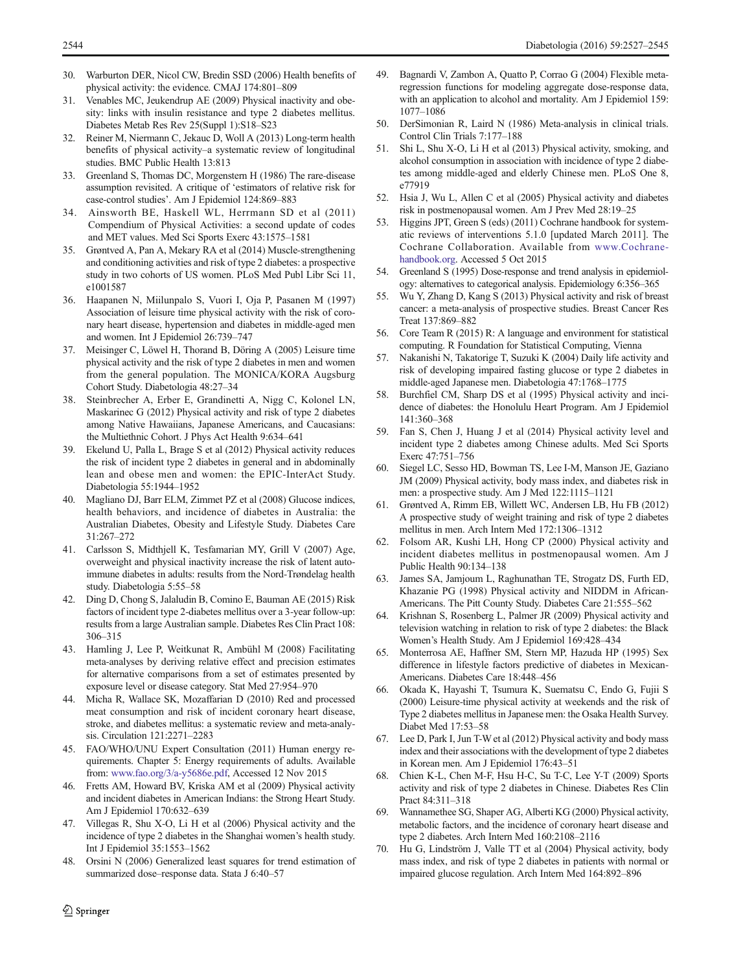- <span id="page-17-0"></span>30. Warburton DER, Nicol CW, Bredin SSD (2006) Health benefits of physical activity: the evidence. CMAJ 174:801–809
- 31. Venables MC, Jeukendrup AE (2009) Physical inactivity and obesity: links with insulin resistance and type 2 diabetes mellitus. Diabetes Metab Res Rev 25(Suppl 1):S18–S23
- 32. Reiner M, Niermann C, Jekauc D, Woll A (2013) Long-term health benefits of physical activity–a systematic review of longitudinal studies. BMC Public Health 13:813
- 33. Greenland S, Thomas DC, Morgenstern H (1986) The rare-disease assumption revisited. A critique of 'estimators of relative risk for case-control studies'. Am J Epidemiol 124:869–883
- 34. Ainsworth BE, Haskell WL, Herrmann SD et al (2011) Compendium of Physical Activities: a second update of codes and MET values. Med Sci Sports Exerc 43:1575–1581
- 35. Grøntved A, Pan A, Mekary RA et al (2014) Muscle-strengthening and conditioning activities and risk of type 2 diabetes: a prospective study in two cohorts of US women. PLoS Med Publ Libr Sci 11, e1001587
- 36. Haapanen N, Miilunpalo S, Vuori I, Oja P, Pasanen M (1997) Association of leisure time physical activity with the risk of coronary heart disease, hypertension and diabetes in middle-aged men and women. Int J Epidemiol 26:739–747
- 37. Meisinger C, Löwel H, Thorand B, Döring A (2005) Leisure time physical activity and the risk of type 2 diabetes in men and women from the general population. The MONICA/KORA Augsburg Cohort Study. Diabetologia 48:27–34
- 38. Steinbrecher A, Erber E, Grandinetti A, Nigg C, Kolonel LN, Maskarinec G (2012) Physical activity and risk of type 2 diabetes among Native Hawaiians, Japanese Americans, and Caucasians: the Multiethnic Cohort. J Phys Act Health 9:634–641
- Ekelund U, Palla L, Brage S et al (2012) Physical activity reduces the risk of incident type 2 diabetes in general and in abdominally lean and obese men and women: the EPIC-InterAct Study. Diabetologia 55:1944–1952
- 40. Magliano DJ, Barr ELM, Zimmet PZ et al (2008) Glucose indices, health behaviors, and incidence of diabetes in Australia: the Australian Diabetes, Obesity and Lifestyle Study. Diabetes Care 31:267–272
- 41. Carlsson S, Midthjell K, Tesfamarian MY, Grill V (2007) Age, overweight and physical inactivity increase the risk of latent autoimmune diabetes in adults: results from the Nord-Trøndelag health study. Diabetologia 5:55–58
- 42. Ding D, Chong S, Jalaludin B, Comino E, Bauman AE (2015) Risk factors of incident type 2-diabetes mellitus over a 3-year follow-up: results from a large Australian sample. Diabetes Res Clin Pract 108: 306–315
- 43. Hamling J, Lee P, Weitkunat R, Ambühl M (2008) Facilitating meta-analyses by deriving relative effect and precision estimates for alternative comparisons from a set of estimates presented by exposure level or disease category. Stat Med 27:954–970
- 44. Micha R, Wallace SK, Mozaffarian D (2010) Red and processed meat consumption and risk of incident coronary heart disease, stroke, and diabetes mellitus: a systematic review and meta-analysis. Circulation 121:2271–2283
- 45. FAO/WHO/UNU Expert Consultation (2011) Human energy requirements. Chapter 5: Energy requirements of adults. Available from: [www.fao.org/3/a-y5686e.pdf](http://www.fao.org/3/a-y5686e.pdf), Accessed 12 Nov 2015
- 46. Fretts AM, Howard BV, Kriska AM et al (2009) Physical activity and incident diabetes in American Indians: the Strong Heart Study. Am J Epidemiol 170:632–639
- 47. Villegas R, Shu X-O, Li H et al (2006) Physical activity and the incidence of type 2 diabetes in the Shanghai women's health study. Int J Epidemiol 35:1553–1562
- 48. Orsini N (2006) Generalized least squares for trend estimation of summarized dose–response data. Stata J 6:40–57
- 49. Bagnardi V, Zambon A, Quatto P, Corrao G (2004) Flexible metaregression functions for modeling aggregate dose-response data, with an application to alcohol and mortality. Am J Epidemiol 159: 1077–1086
- 50. DerSimonian R, Laird N (1986) Meta-analysis in clinical trials. Control Clin Trials 7:177–188
- 51. Shi L, Shu X-O, Li H et al (2013) Physical activity, smoking, and alcohol consumption in association with incidence of type 2 diabetes among middle-aged and elderly Chinese men. PLoS One 8, e77919
- 52. Hsia J, Wu L, Allen C et al (2005) Physical activity and diabetes risk in postmenopausal women. Am J Prev Med 28:19–25
- 53. Higgins JPT, Green S (eds) (2011) Cochrane handbook for systematic reviews of interventions 5.1.0 [updated March 2011]. The Cochrane Collaboration. Available from [www.Cochrane](http://www.cochrane-handbook.org/)[handbook.org.](http://www.cochrane-handbook.org/) Accessed 5 Oct 2015
- 54. Greenland S (1995) Dose-response and trend analysis in epidemiology: alternatives to categorical analysis. Epidemiology 6:356–365
- 55. Wu Y, Zhang D, Kang S (2013) Physical activity and risk of breast cancer: a meta-analysis of prospective studies. Breast Cancer Res Treat 137:869–882
- 56. Core Team R (2015) R: A language and environment for statistical computing. R Foundation for Statistical Computing, Vienna
- 57. Nakanishi N, Takatorige T, Suzuki K (2004) Daily life activity and risk of developing impaired fasting glucose or type 2 diabetes in middle-aged Japanese men. Diabetologia 47:1768–1775
- Burchfiel CM, Sharp DS et al (1995) Physical activity and incidence of diabetes: the Honolulu Heart Program. Am J Epidemiol 141:360–368
- 59. Fan S, Chen J, Huang J et al (2014) Physical activity level and incident type 2 diabetes among Chinese adults. Med Sci Sports Exerc 47:751–756
- 60. Siegel LC, Sesso HD, Bowman TS, Lee I-M, Manson JE, Gaziano JM (2009) Physical activity, body mass index, and diabetes risk in men: a prospective study. Am J Med 122:1115–1121
- 61. Grøntved A, Rimm EB, Willett WC, Andersen LB, Hu FB (2012) A prospective study of weight training and risk of type 2 diabetes mellitus in men. Arch Intern Med 172:1306–1312
- 62. Folsom AR, Kushi LH, Hong CP (2000) Physical activity and incident diabetes mellitus in postmenopausal women. Am J Public Health 90:134–138
- 63. James SA, Jamjoum L, Raghunathan TE, Strogatz DS, Furth ED, Khazanie PG (1998) Physical activity and NIDDM in African-Americans. The Pitt County Study. Diabetes Care 21:555-562
- 64. Krishnan S, Rosenberg L, Palmer JR (2009) Physical activity and television watching in relation to risk of type 2 diabetes: the Black Women's Health Study. Am J Epidemiol 169:428–434
- 65. Monterrosa AE, Haffner SM, Stern MP, Hazuda HP (1995) Sex difference in lifestyle factors predictive of diabetes in Mexican-Americans. Diabetes Care 18:448–456
- 66. Okada K, Hayashi T, Tsumura K, Suematsu C, Endo G, Fujii S (2000) Leisure-time physical activity at weekends and the risk of Type 2 diabetes mellitus in Japanese men: the Osaka Health Survey. Diabet Med 17:53–58
- 67. Lee D, Park I, Jun T-W et al (2012) Physical activity and body mass index and their associations with the development of type 2 diabetes in Korean men. Am J Epidemiol 176:43–51
- 68. Chien K-L, Chen M-F, Hsu H-C, Su T-C, Lee Y-T (2009) Sports activity and risk of type 2 diabetes in Chinese. Diabetes Res Clin Pract 84:311–318
- 69. Wannamethee SG, Shaper AG, Alberti KG (2000) Physical activity, metabolic factors, and the incidence of coronary heart disease and type 2 diabetes. Arch Intern Med 160:2108–2116
- 70. Hu G, Lindström J, Valle TT et al (2004) Physical activity, body mass index, and risk of type 2 diabetes in patients with normal or impaired glucose regulation. Arch Intern Med 164:892–896